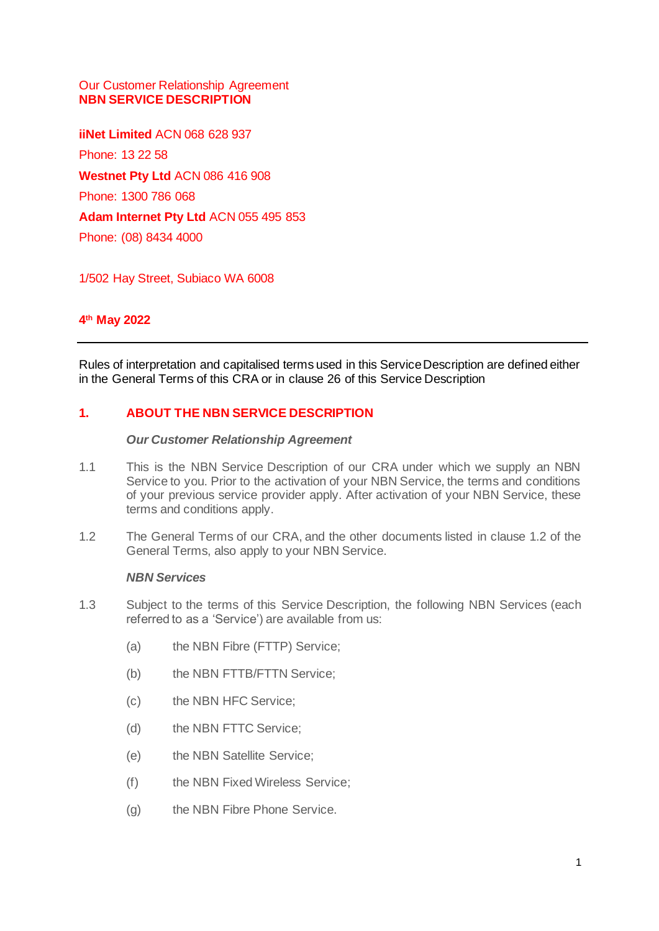### Our Customer Relationship Agreement **NBN SERVICE DESCRIPTION**

**iiNet Limited** ACN 068 628 937 Phone: 13 22 58 **Westnet Pty Ltd** ACN 086 416 908 Phone: 1300 786 068 **Adam Internet Pty Ltd** ACN 055 495 853 Phone: (08) 8434 4000

1/502 Hay Street, Subiaco WA 6008

## **4 th May 2022**

Rules of interpretation and capitalised terms used in this Service Description are defined either in the General Terms of this CRA or in clause [26](#page-27-0) of this Service Description

### **1. ABOUT THE NBN SERVICE DESCRIPTION**

#### *Our Customer Relationship Agreement*

- 1.1 This is the NBN Service Description of our CRA under which we supply an NBN Service to you. Prior to the activation of your NBN Service, the terms and conditions of your previous service provider apply. After activation of your NBN Service, these terms and conditions apply.
- 1.2 The General Terms of our CRA, and the other documents listed in clause 1.2 of the General Terms, also apply to your NBN Service.

#### *NBN Services*

- 1.3 Subject to the terms of this Service Description, the following NBN Services (each referred to as a 'Service') are available from us:
	- (a) the NBN Fibre (FTTP) Service;
	- (b) the NBN FTTB/FTTN Service;
	- (c) the NBN HFC Service;
	- (d) the NBN FTTC Service;
	- (e) the NBN Satellite Service;
	- (f) the NBN Fixed Wireless Service;
	- (g) the NBN Fibre Phone Service.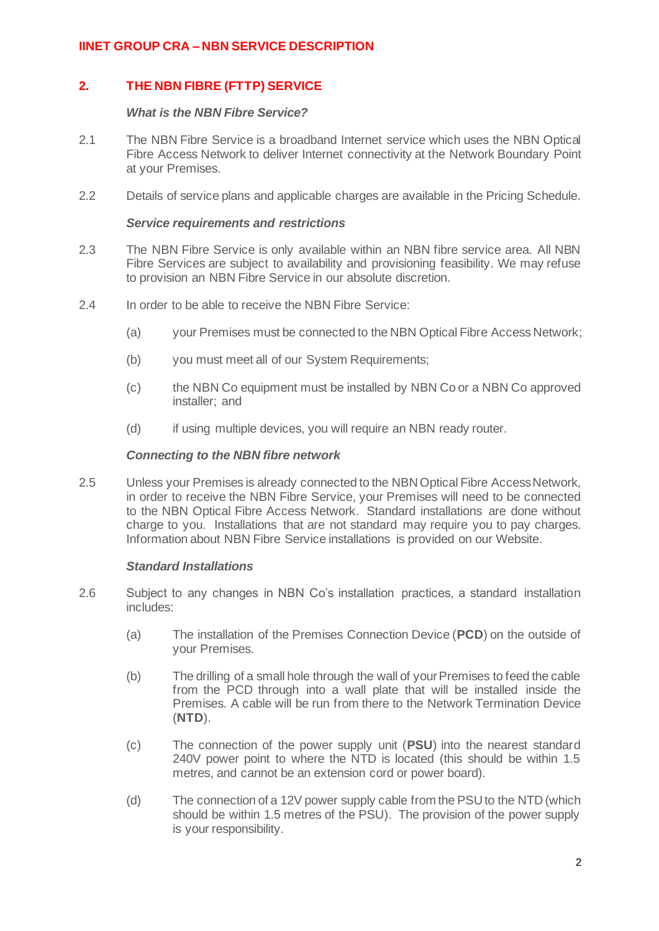## **2. THE NBN FIBRE (FTTP) SERVICE**

#### *What is the NBN Fibre Service?*

- 2.1 The NBN Fibre Service is a broadband Internet service which uses the NBN Optical Fibre Access Network to deliver Internet connectivity at the Network Boundary Point at your Premises.
- 2.2 Details of service plans and applicable charges are available in the Pricing Schedule.

#### *Service requirements and restrictions*

- 2.3 The NBN Fibre Service is only available within an NBN fibre service area. All NBN Fibre Services are subject to availability and provisioning feasibility. We may refuse to provision an NBN Fibre Service in our absolute discretion.
- 2.4 In order to be able to receive the NBN Fibre Service:
	- (a) your Premises must be connected to the NBN Optical Fibre Access Network;
	- (b) you must meet all of our System Requirements;
	- (c) the NBN Co equipment must be installed by NBN Co or a NBN Co approved installer; and
	- (d) if using multiple devices, you will require an NBN ready router.

#### *Connecting to the NBN fibre network*

2.5 Unless your Premises is already connected to the NBN Optical Fibre Access Network, in order to receive the NBN Fibre Service, your Premises will need to be connected to the NBN Optical Fibre Access Network. Standard installations are done without charge to you. Installations that are not standard may require you to pay charges. Information about NBN Fibre Service installations is provided on our Website.

#### *Standard Installations*

- 2.6 Subject to any changes in NBN Co's installation practices, a standard installation includes:
	- (a) The installation of the Premises Connection Device (**PCD**) on the outside of your Premises.
	- (b) The drilling of a small hole through the wall of your Premises to feed the cable from the PCD through into a wall plate that will be installed inside the Premises. A cable will be run from there to the Network Termination Device (**NTD**).
	- (c) The connection of the power supply unit (**PSU**) into the nearest standard 240V power point to where the NTD is located (this should be within 1.5 metres, and cannot be an extension cord or power board).
	- (d) The connection of a 12V power supply cable from the PSU to the NTD (which should be within 1.5 metres of the PSU). The provision of the power supply is your responsibility.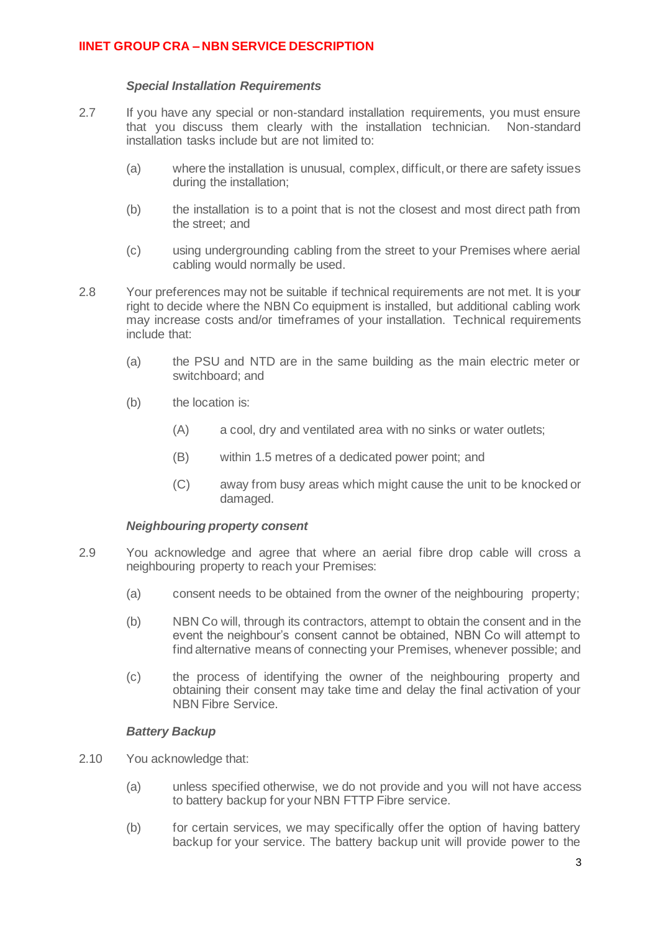### *Special Installation Requirements*

- 2.7 If you have any special or non-standard installation requirements, you must ensure that you discuss them clearly with the installation technician. Non-standard installation tasks include but are not limited to:
	- (a) where the installation is unusual, complex, difficult, or there are safety issues during the installation;
	- (b) the installation is to a point that is not the closest and most direct path from the street; and
	- (c) using undergrounding cabling from the street to your Premises where aerial cabling would normally be used.
- 2.8 Your preferences may not be suitable if technical requirements are not met. It is your right to decide where the NBN Co equipment is installed, but additional cabling work may increase costs and/or timeframes of your installation. Technical requirements include that:
	- (a) the PSU and NTD are in the same building as the main electric meter or switchboard; and
	- (b) the location is:
		- (A) a cool, dry and ventilated area with no sinks or water outlets;
		- (B) within 1.5 metres of a dedicated power point; and
		- (C) away from busy areas which might cause the unit to be knocked or damaged.

#### *Neighbouring property consent*

- 2.9 You acknowledge and agree that where an aerial fibre drop cable will cross a neighbouring property to reach your Premises:
	- (a) consent needs to be obtained from the owner of the neighbouring property;
	- (b) NBN Co will, through its contractors, attempt to obtain the consent and in the event the neighbour's consent cannot be obtained, NBN Co will attempt to find alternative means of connecting your Premises, whenever possible; and
	- (c) the process of identifying the owner of the neighbouring property and obtaining their consent may take time and delay the final activation of your NBN Fibre Service.

### *Battery Backup*

- 2.10 You acknowledge that:
	- (a) unless specified otherwise, we do not provide and you will not have access to battery backup for your NBN FTTP Fibre service.
	- (b) for certain services, we may specifically offer the option of having battery backup for your service. The battery backup unit will provide power to the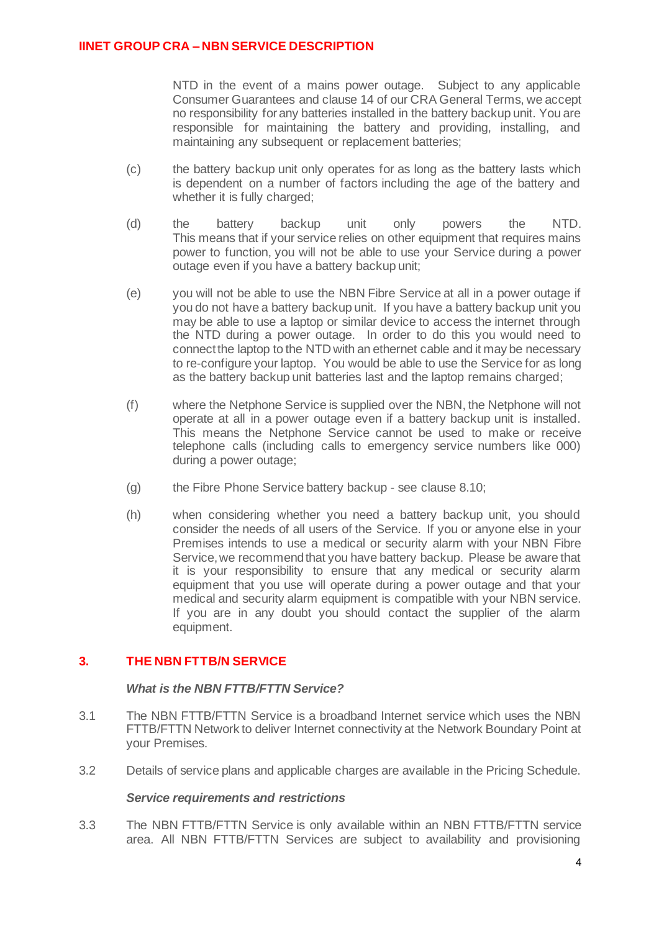NTD in the event of a mains power outage. Subject to any applicable Consumer Guarantees and clause 14 of our CRA General Terms, we accept no responsibility for any batteries installed in the battery backup unit. You are responsible for maintaining the battery and providing, installing, and maintaining any subsequent or replacement batteries;

- (c) the battery backup unit only operates for as long as the battery lasts which is dependent on a number of factors including the age of the battery and whether it is fully charged;
- (d) the battery backup unit only powers the NTD. This means that if your service relies on other equipment that requires mains power to function, you will not be able to use your Service during a power outage even if you have a battery backup unit;
- (e) you will not be able to use the NBN Fibre Service at all in a power outage if you do not have a battery backup unit. If you have a battery backup unit you may be able to use a laptop or similar device to access the internet through the NTD during a power outage. In order to do this you would need to connect the laptop to the NTD with an ethernet cable and it may be necessary to re-configure your laptop. You would be able to use the Service for as long as the battery backup unit batteries last and the laptop remains charged;
- (f) where the Netphone Service is supplied over the NBN, the Netphone will not operate at all in a power outage even if a battery backup unit is installed. This means the Netphone Service cannot be used to make or receive telephone calls (including calls to emergency service numbers like 000) during a power outage;
- (g) the Fibre Phone Service battery backup see clause 8.10;
- (h) when considering whether you need a battery backup unit, you should consider the needs of all users of the Service. If you or anyone else in your Premises intends to use a medical or security alarm with your NBN Fibre Service, we recommend that you have battery backup. Please be aware that it is your responsibility to ensure that any medical or security alarm equipment that you use will operate during a power outage and that your medical and security alarm equipment is compatible with your NBN service. If you are in any doubt you should contact the supplier of the alarm equipment.

### **3. THE NBN FTTB/N SERVICE**

#### *What is the NBN FTTB/FTTN Service?*

- 3.1 The NBN FTTB/FTTN Service is a broadband Internet service which uses the NBN FTTB/FTTN Network to deliver Internet connectivity at the Network Boundary Point at your Premises.
- 3.2 Details of service plans and applicable charges are available in the Pricing Schedule.

#### *Service requirements and restrictions*

3.3 The NBN FTTB/FTTN Service is only available within an NBN FTTB/FTTN service area. All NBN FTTB/FTTN Services are subject to availability and provisioning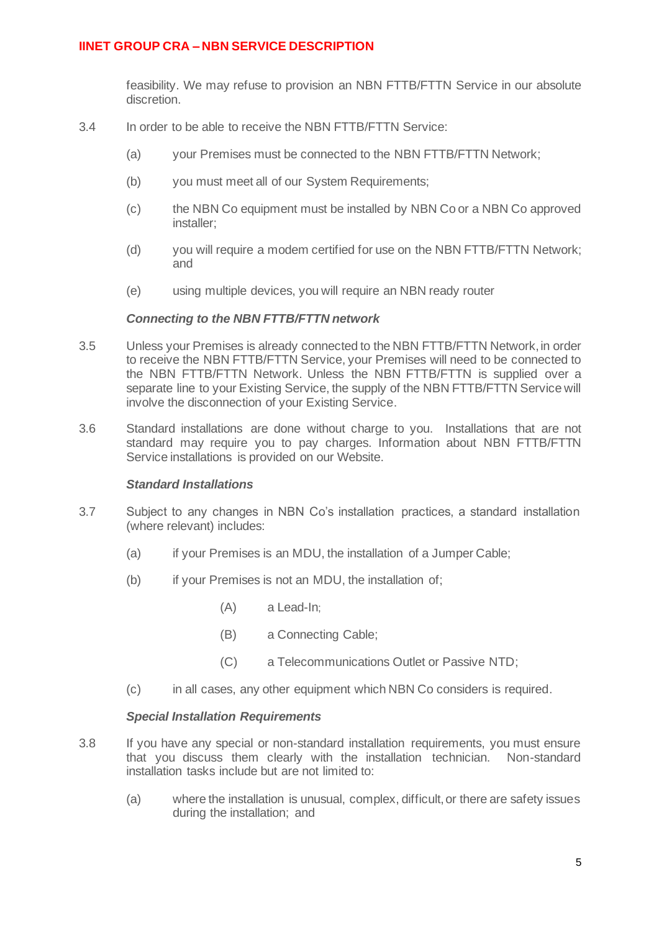feasibility. We may refuse to provision an NBN FTTB/FTTN Service in our absolute discretion.

- 3.4 In order to be able to receive the NBN FTTB/FTTN Service:
	- (a) your Premises must be connected to the NBN FTTB/FTTN Network;
	- (b) you must meet all of our System Requirements;
	- (c) the NBN Co equipment must be installed by NBN Co or a NBN Co approved installer;
	- (d) you will require a modem certified for use on the NBN FTTB/FTTN Network; and
	- (e) using multiple devices, you will require an NBN ready router

#### *Connecting to the NBN FTTB/FTTN network*

- 3.5 Unless your Premises is already connected to the NBN FTTB/FTTN Network, in order to receive the NBN FTTB/FTTN Service, your Premises will need to be connected to the NBN FTTB/FTTN Network. Unless the NBN FTTB/FTTN is supplied over a separate line to your Existing Service, the supply of the NBN FTTB/FTTN Service will involve the disconnection of your Existing Service.
- 3.6 Standard installations are done without charge to you. Installations that are not standard may require you to pay charges. Information about NBN FTTB/FTTN Service installations is provided on our Website.

#### *Standard Installations*

- 3.7 Subject to any changes in NBN Co's installation practices, a standard installation (where relevant) includes:
	- (a) if your Premises is an MDU, the installation of a Jumper Cable;
	- (b) if your Premises is not an MDU, the installation of;
		- (A) a Lead-In;
		- (B) a Connecting Cable;
		- (C) a Telecommunications Outlet or Passive NTD;
	- (c) in all cases, any other equipment which NBN Co considers is required.

#### *Special Installation Requirements*

- 3.8 If you have any special or non-standard installation requirements, you must ensure that you discuss them clearly with the installation technician. Non-standard installation tasks include but are not limited to:
	- (a) where the installation is unusual, complex, difficult, or there are safety issues during the installation; and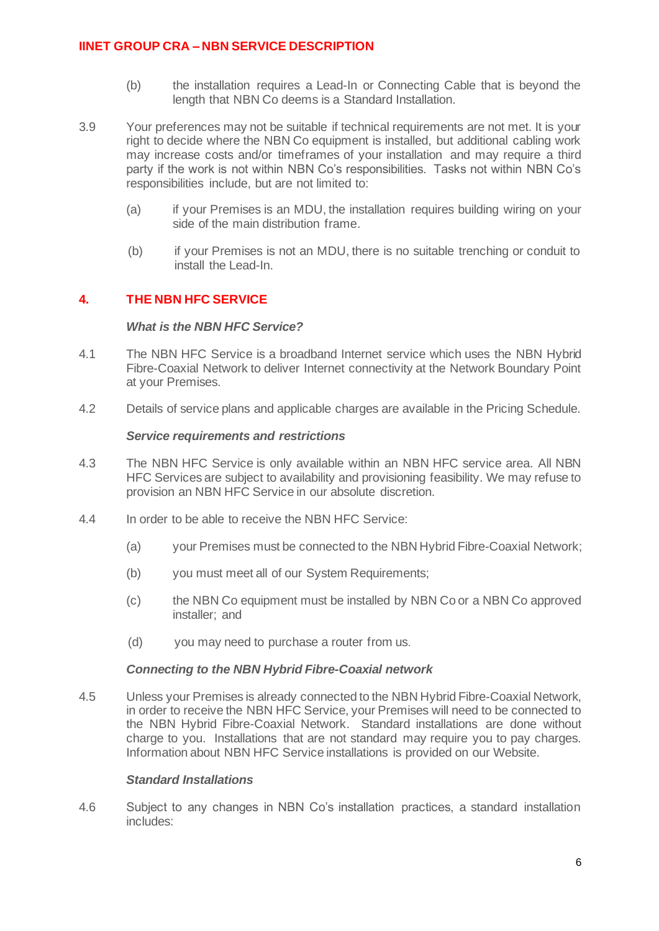- (b) the installation requires a Lead-In or Connecting Cable that is beyond the length that NBN Co deems is a Standard Installation.
- 3.9 Your preferences may not be suitable if technical requirements are not met. It is your right to decide where the NBN Co equipment is installed, but additional cabling work may increase costs and/or timeframes of your installation and may require a third party if the work is not within NBN Co's responsibilities. Tasks not within NBN Co's responsibilities include, but are not limited to:
	- (a) if your Premises is an MDU, the installation requires building wiring on your side of the main distribution frame.
	- (b) if your Premises is not an MDU, there is no suitable trenching or conduit to install the Lead-In.

## **4. THE NBN HFC SERVICE**

#### *What is the NBN HFC Service?*

- 4.1 The NBN HFC Service is a broadband Internet service which uses the NBN Hybrid Fibre-Coaxial Network to deliver Internet connectivity at the Network Boundary Point at your Premises.
- 4.2 Details of service plans and applicable charges are available in the Pricing Schedule.

#### *Service requirements and restrictions*

- 4.3 The NBN HFC Service is only available within an NBN HFC service area. All NBN HFC Services are subject to availability and provisioning feasibility. We may refuse to provision an NBN HFC Service in our absolute discretion.
- 4.4 In order to be able to receive the NBN HFC Service:
	- (a) your Premises must be connected to the NBN Hybrid Fibre-Coaxial Network;
	- (b) you must meet all of our System Requirements;
	- (c) the NBN Co equipment must be installed by NBN Co or a NBN Co approved installer; and
	- (d) you may need to purchase a router from us.

#### *Connecting to the NBN Hybrid Fibre-Coaxial network*

4.5 Unless your Premises is already connected to the NBN Hybrid Fibre-Coaxial Network, in order to receive the NBN HFC Service, your Premises will need to be connected to the NBN Hybrid Fibre-Coaxial Network. Standard installations are done without charge to you. Installations that are not standard may require you to pay charges. Information about NBN HFC Service installations is provided on our Website.

### *Standard Installations*

4.6 Subject to any changes in NBN Co's installation practices, a standard installation includes: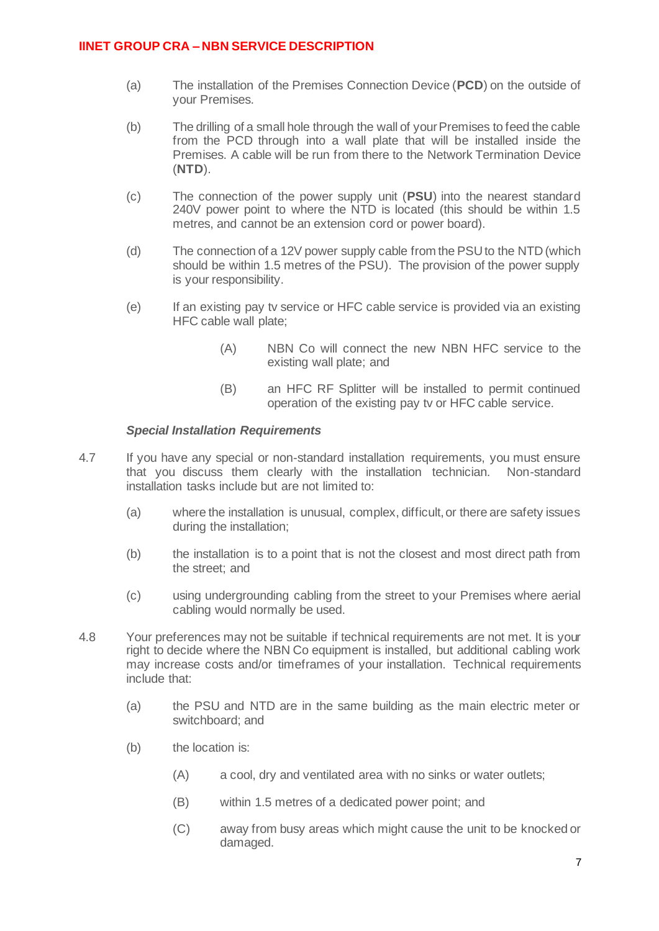- (a) The installation of the Premises Connection Device (**PCD**) on the outside of your Premises.
- (b) The drilling of a small hole through the wall of your Premises to feed the cable from the PCD through into a wall plate that will be installed inside the Premises. A cable will be run from there to the Network Termination Device (**NTD**).
- (c) The connection of the power supply unit (**PSU**) into the nearest standard 240V power point to where the NTD is located (this should be within 1.5 metres, and cannot be an extension cord or power board).
- (d) The connection of a 12V power supply cable from the PSU to the NTD (which should be within 1.5 metres of the PSU). The provision of the power supply is your responsibility.
- (e) If an existing pay tv service or HFC cable service is provided via an existing HFC cable wall plate;
	- (A) NBN Co will connect the new NBN HFC service to the existing wall plate; and
	- (B) an HFC RF Splitter will be installed to permit continued operation of the existing pay tv or HFC cable service.

### *Special Installation Requirements*

- 4.7 If you have any special or non-standard installation requirements, you must ensure that you discuss them clearly with the installation technician. Non-standard installation tasks include but are not limited to:
	- (a) where the installation is unusual, complex, difficult, or there are safety issues during the installation;
	- (b) the installation is to a point that is not the closest and most direct path from the street; and
	- (c) using undergrounding cabling from the street to your Premises where aerial cabling would normally be used.
- 4.8 Your preferences may not be suitable if technical requirements are not met. It is your right to decide where the NBN Co equipment is installed, but additional cabling work may increase costs and/or timeframes of your installation. Technical requirements include that:
	- (a) the PSU and NTD are in the same building as the main electric meter or switchboard; and
	- (b) the location is:
		- (A) a cool, dry and ventilated area with no sinks or water outlets;
		- (B) within 1.5 metres of a dedicated power point; and
		- (C) away from busy areas which might cause the unit to be knocked or damaged.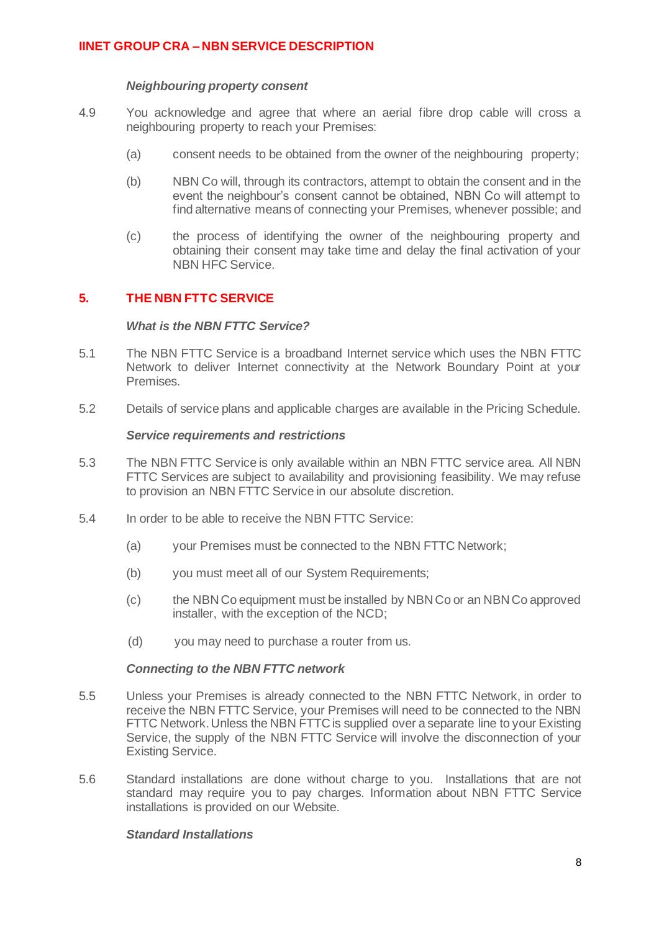#### *Neighbouring property consent*

- 4.9 You acknowledge and agree that where an aerial fibre drop cable will cross a neighbouring property to reach your Premises:
	- (a) consent needs to be obtained from the owner of the neighbouring property;
	- (b) NBN Co will, through its contractors, attempt to obtain the consent and in the event the neighbour's consent cannot be obtained, NBN Co will attempt to find alternative means of connecting your Premises, whenever possible; and
	- (c) the process of identifying the owner of the neighbouring property and obtaining their consent may take time and delay the final activation of your NBN HFC Service.

## **5. THE NBN FTTC SERVICE**

#### *What is the NBN FTTC Service?*

- 5.1 The NBN FTTC Service is a broadband Internet service which uses the NBN FTTC Network to deliver Internet connectivity at the Network Boundary Point at your Premises.
- 5.2 Details of service plans and applicable charges are available in the Pricing Schedule.

#### *Service requirements and restrictions*

- 5.3 The NBN FTTC Service is only available within an NBN FTTC service area. All NBN FTTC Services are subject to availability and provisioning feasibility. We may refuse to provision an NBN FTTC Service in our absolute discretion.
- 5.4 In order to be able to receive the NBN FTTC Service:
	- (a) your Premises must be connected to the NBN FTTC Network;
	- (b) you must meet all of our System Requirements;
	- (c) the NBN Co equipment must be installed by NBN Co or an NBN Co approved installer, with the exception of the NCD;
	- (d) you may need to purchase a router from us.

#### *Connecting to the NBN FTTC network*

- 5.5 Unless your Premises is already connected to the NBN FTTC Network, in order to receive the NBN FTTC Service, your Premises will need to be connected to the NBN FTTC Network. Unless the NBN FTTC is supplied over a separate line to your Existing Service, the supply of the NBN FTTC Service will involve the disconnection of your Existing Service.
- 5.6 Standard installations are done without charge to you. Installations that are not standard may require you to pay charges. Information about NBN FTTC Service installations is provided on our Website.

### *Standard Installations*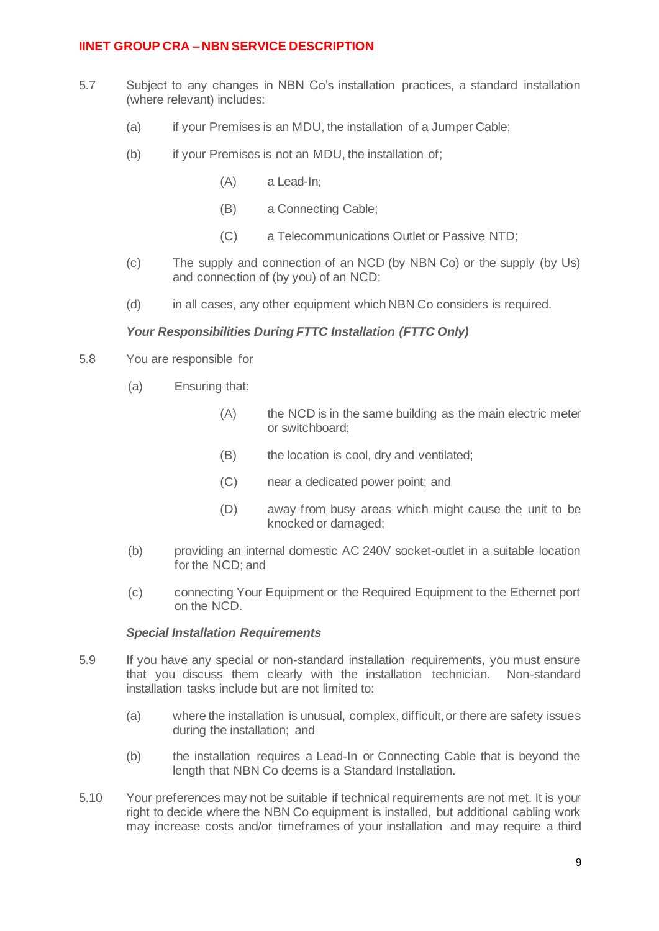- 5.7 Subject to any changes in NBN Co's installation practices, a standard installation (where relevant) includes:
	- (a) if your Premises is an MDU, the installation of a Jumper Cable;
	- (b) if your Premises is not an MDU, the installation of;
		- (A) a Lead-In;
		- (B) a Connecting Cable;
		- (C) a Telecommunications Outlet or Passive NTD;
	- (c) The supply and connection of an NCD (by NBN Co) or the supply (by Us) and connection of (by you) of an NCD;
	- (d) in all cases, any other equipment which NBN Co considers is required.

### *Your Responsibilities During FTTC Installation (FTTC Only)*

- 5.8 You are responsible for
	- (a) Ensuring that:
		- (A) the NCD is in the same building as the main electric meter or switchboard;
		- (B) the location is cool, dry and ventilated;
		- (C) near a dedicated power point; and
		- (D) away from busy areas which might cause the unit to be knocked or damaged;
	- (b) providing an internal domestic AC 240V socket-outlet in a suitable location for the NCD; and
	- (c) connecting Your Equipment or the Required Equipment to the Ethernet port on the NCD.

### *Special Installation Requirements*

- 5.9 If you have any special or non-standard installation requirements, you must ensure that you discuss them clearly with the installation technician. Non-standard installation tasks include but are not limited to:
	- (a) where the installation is unusual, complex, difficult, or there are safety issues during the installation; and
	- (b) the installation requires a Lead-In or Connecting Cable that is beyond the length that NBN Co deems is a Standard Installation.
- 5.10 Your preferences may not be suitable if technical requirements are not met. It is your right to decide where the NBN Co equipment is installed, but additional cabling work may increase costs and/or timeframes of your installation and may require a third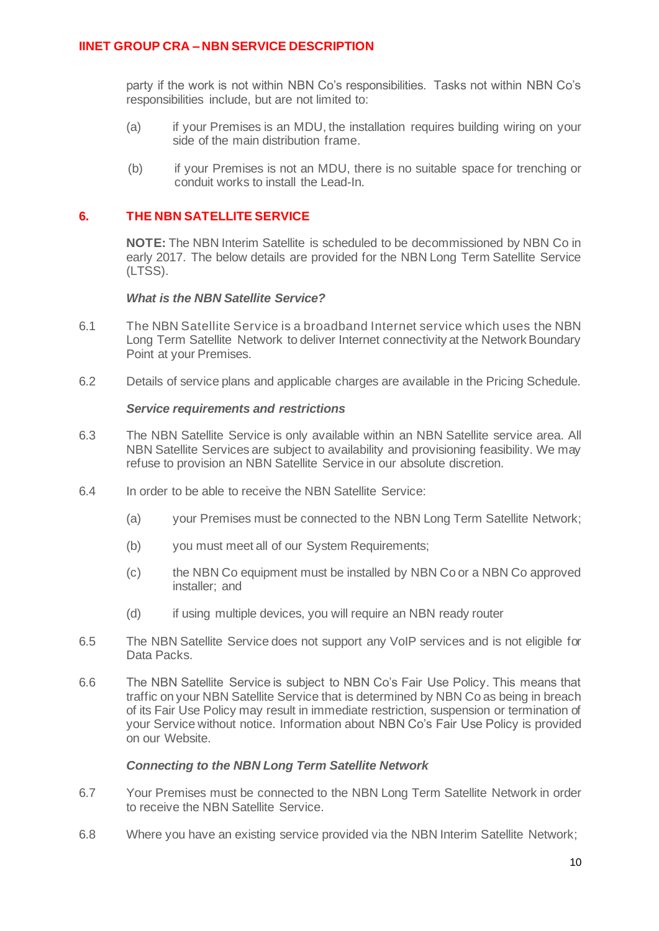party if the work is not within NBN Co's responsibilities. Tasks not within NBN Co's responsibilities include, but are not limited to:

- (a) if your Premises is an MDU, the installation requires building wiring on your side of the main distribution frame.
- (b) if your Premises is not an MDU, there is no suitable space for trenching or conduit works to install the Lead-In.

## **6. THE NBN SATELLITE SERVICE**

**NOTE:** The NBN Interim Satellite is scheduled to be decommissioned by NBN Co in early 2017. The below details are provided for the NBN Long Term Satellite Service (LTSS).

#### *What is the NBN Satellite Service?*

- 6.1 The NBN Satellite Service is a broadband Internet service which uses the NBN Long Term Satellite Network to deliver Internet connectivity at the Network Boundary Point at your Premises.
- 6.2 Details of service plans and applicable charges are available in the Pricing Schedule.

## *Service requirements and restrictions*

- 6.3 The NBN Satellite Service is only available within an NBN Satellite service area. All NBN Satellite Services are subject to availability and provisioning feasibility. We may refuse to provision an NBN Satellite Service in our absolute discretion.
- 6.4 In order to be able to receive the NBN Satellite Service:
	- (a) your Premises must be connected to the NBN Long Term Satellite Network;
	- (b) you must meet all of our System Requirements;
	- (c) the NBN Co equipment must be installed by NBN Co or a NBN Co approved installer; and
	- (d) if using multiple devices, you will require an NBN ready router
- 6.5 The NBN Satellite Service does not support any VoIP services and is not eligible for Data Packs.
- 6.6 The NBN Satellite Service is subject to NBN Co's Fair Use Policy. This means that traffic on your NBN Satellite Service that is determined by NBN Co as being in breach of its Fair Use Policy may result in immediate restriction, suspension or termination of your Service without notice. Information about NBN Co's Fair Use Policy is provided on our Website.

#### *Connecting to the NBN Long Term Satellite Network*

- 6.7 Your Premises must be connected to the NBN Long Term Satellite Network in order to receive the NBN Satellite Service.
- 6.8 Where you have an existing service provided via the NBN Interim Satellite Network;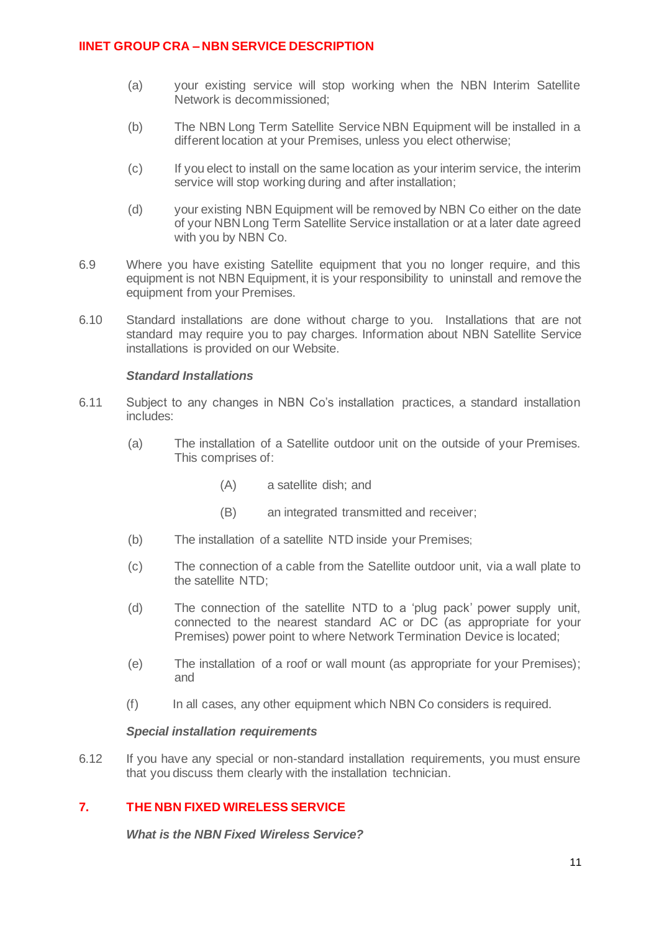- (a) your existing service will stop working when the NBN Interim Satellite Network is decommissioned;
- (b) The NBN Long Term Satellite Service NBN Equipment will be installed in a different location at your Premises, unless you elect otherwise;
- (c) If you elect to install on the same location as your interim service, the interim service will stop working during and after installation;
- (d) your existing NBN Equipment will be removed by NBN Co either on the date of your NBN Long Term Satellite Service installation or at a later date agreed with you by NBN Co.
- 6.9 Where you have existing Satellite equipment that you no longer require, and this equipment is not NBN Equipment, it is your responsibility to uninstall and remove the equipment from your Premises.
- 6.10 Standard installations are done without charge to you. Installations that are not standard may require you to pay charges. Information about NBN Satellite Service installations is provided on our Website.

#### *Standard Installations*

- 6.11 Subject to any changes in NBN Co's installation practices, a standard installation includes:
	- (a) The installation of a Satellite outdoor unit on the outside of your Premises. This comprises of:
		- (A) a satellite dish; and
		- (B) an integrated transmitted and receiver;
	- (b) The installation of a satellite NTD inside your Premises;
	- (c) The connection of a cable from the Satellite outdoor unit, via a wall plate to the satellite NTD;
	- (d) The connection of the satellite NTD to a 'plug pack' power supply unit, connected to the nearest standard AC or DC (as appropriate for your Premises) power point to where Network Termination Device is located;
	- (e) The installation of a roof or wall mount (as appropriate for your Premises); and
	- (f) In all cases, any other equipment which NBN Co considers is required.

#### *Special installation requirements*

6.12 If you have any special or non-standard installation requirements, you must ensure that you discuss them clearly with the installation technician.

## **7. THE NBN FIXED WIRELESS SERVICE**

*What is the NBN Fixed Wireless Service?*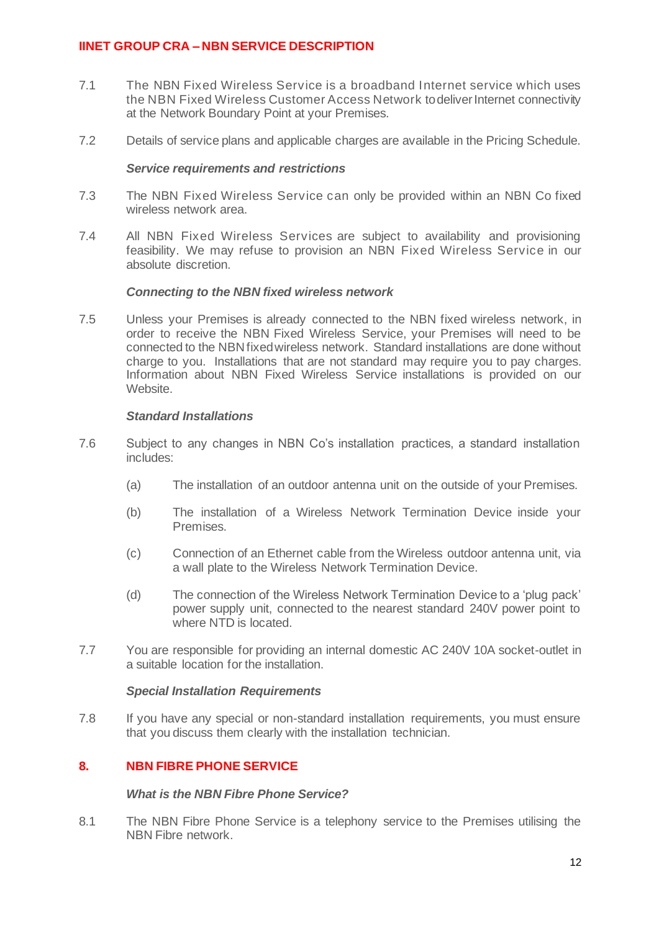- 7.1 The NBN Fixed Wireless Service is a broadband Internet service which uses the NBN Fixed Wireless Customer Access Network to deliver Internet connectivity at the Network Boundary Point at your Premises.
- 7.2 Details of service plans and applicable charges are available in the Pricing Schedule.

#### *Service requirements and restrictions*

- 7.3 The NBN Fixed Wireless Service can only be provided within an NBN Co fixed wireless network area.
- 7.4 All NBN Fixed Wireless Services are subject to availability and provisioning feasibility. We may refuse to provision an NBN Fixed Wireless Service in our absolute discretion.

#### *Connecting to the NBN fixed wireless network*

7.5 Unless your Premises is already connected to the NBN fixed wireless network, in order to receive the NBN Fixed Wireless Service, your Premises will need to be connected to the NBN fixed wireless network. Standard installations are done without charge to you. Installations that are not standard may require you to pay charges. Information about NBN Fixed Wireless Service installations is provided on our Website.

#### *Standard Installations*

- 7.6 Subject to any changes in NBN Co's installation practices, a standard installation includes:
	- (a) The installation of an outdoor antenna unit on the outside of your Premises.
	- (b) The installation of a Wireless Network Termination Device inside your Premises.
	- (c) Connection of an Ethernet cable from the Wireless outdoor antenna unit, via a wall plate to the Wireless Network Termination Device.
	- (d) The connection of the Wireless Network Termination Device to a 'plug pack' power supply unit, connected to the nearest standard 240V power point to where NTD is located.
- 7.7 You are responsible for providing an internal domestic AC 240V 10A socket-outlet in a suitable location for the installation.

#### *Special Installation Requirements*

7.8 If you have any special or non-standard installation requirements, you must ensure that you discuss them clearly with the installation technician.

### **8. NBN FIBRE PHONE SERVICE**

### *What is the NBN Fibre Phone Service?*

8.1 The NBN Fibre Phone Service is a telephony service to the Premises utilising the NBN Fibre network.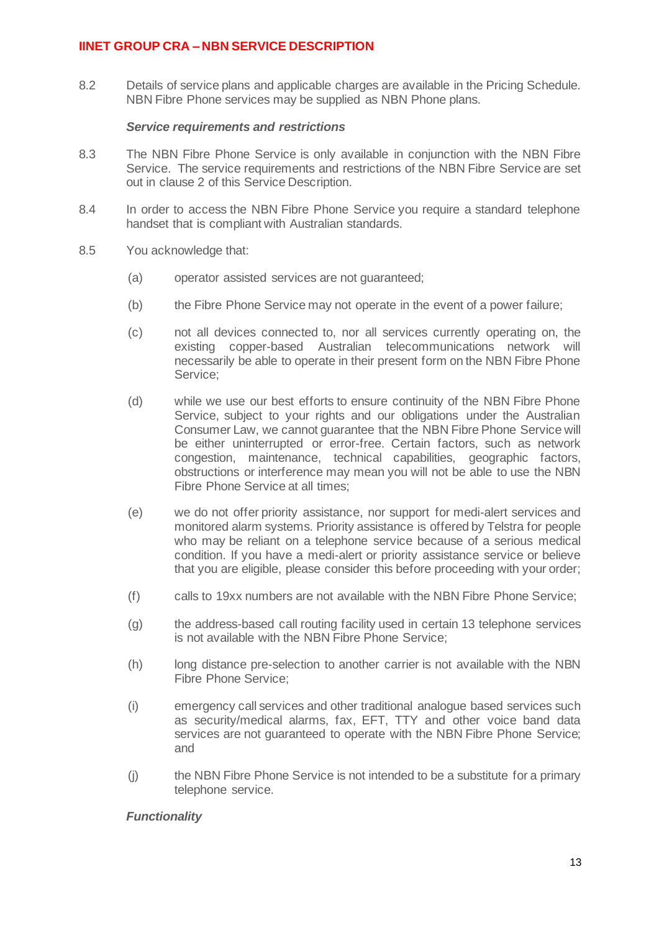8.2 Details of service plans and applicable charges are available in the Pricing Schedule. NBN Fibre Phone services may be supplied as NBN Phone plans.

### *Service requirements and restrictions*

- 8.3 The NBN Fibre Phone Service is only available in conjunction with the NBN Fibre Service. The service requirements and restrictions of the NBN Fibre Service are set out in clause 2 of this Service Description.
- 8.4 In order to access the NBN Fibre Phone Service you require a standard telephone handset that is compliant with Australian standards.
- 8.5 You acknowledge that:
	- (a) operator assisted services are not guaranteed;
	- (b) the Fibre Phone Service may not operate in the event of a power failure;
	- (c) not all devices connected to, nor all services currently operating on, the existing copper-based Australian telecommunications network will necessarily be able to operate in their present form on the NBN Fibre Phone Service;
	- (d) while we use our best efforts to ensure continuity of the NBN Fibre Phone Service, subject to your rights and our obligations under the Australian Consumer Law, we cannot guarantee that the NBN Fibre Phone Service will be either uninterrupted or error-free. Certain factors, such as network congestion, maintenance, technical capabilities, geographic factors, obstructions or interference may mean you will not be able to use the NBN Fibre Phone Service at all times;
	- (e) we do not offer priority assistance, nor support for medi-alert services and monitored alarm systems. Priority assistance is offered by Telstra for people who may be reliant on a telephone service because of a serious medical condition. If you have a medi-alert or priority assistance service or believe that you are eligible, please consider this before proceeding with your order;
	- (f) calls to 19xx numbers are not available with the NBN Fibre Phone Service;
	- (g) the address-based call routing facility used in certain 13 telephone services is not available with the NBN Fibre Phone Service;
	- (h) long distance pre-selection to another carrier is not available with the NBN Fibre Phone Service;
	- (i) emergency call services and other traditional analogue based services such as security/medical alarms, fax, EFT, TTY and other voice band data services are not guaranteed to operate with the NBN Fibre Phone Service; and
	- (j) the NBN Fibre Phone Service is not intended to be a substitute for a primary telephone service.

### *Functionality*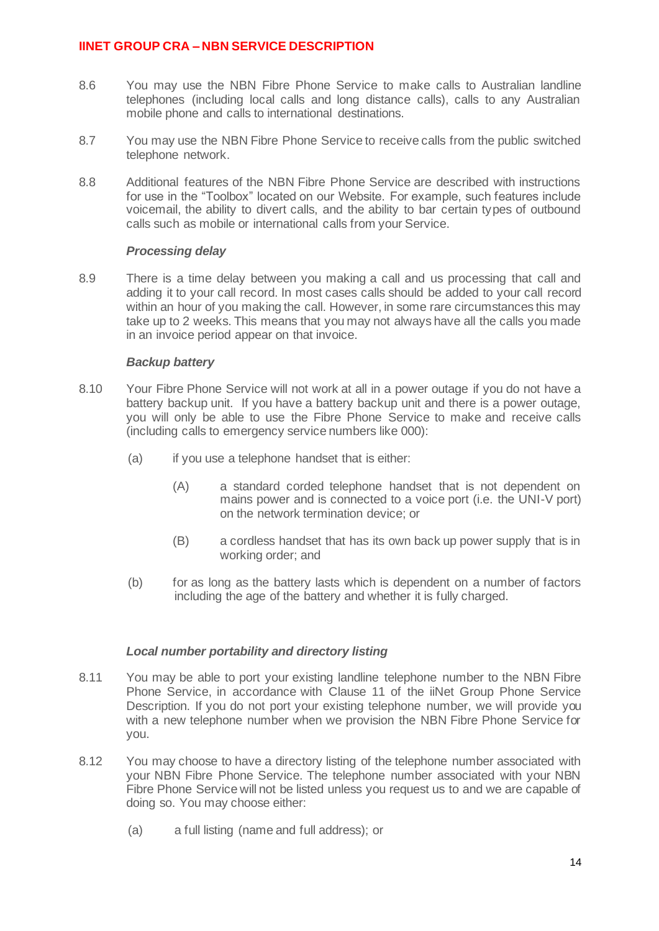- 8.6 You may use the NBN Fibre Phone Service to make calls to Australian landline telephones (including local calls and long distance calls), calls to any Australian mobile phone and calls to international destinations.
- 8.7 You may use the NBN Fibre Phone Service to receive calls from the public switched telephone network.
- 8.8 Additional features of the NBN Fibre Phone Service are described with instructions for use in the "Toolbox" located on our Website. For example, such features include voicemail, the ability to divert calls, and the ability to bar certain types of outbound calls such as mobile or international calls from your Service.

### *Processing delay*

8.9 There is a time delay between you making a call and us processing that call and adding it to your call record. In most cases calls should be added to your call record within an hour of you making the call. However, in some rare circumstances this may take up to 2 weeks. This means that you may not always have all the calls you made in an invoice period appear on that invoice.

## *Backup battery*

- 8.10 Your Fibre Phone Service will not work at all in a power outage if you do not have a battery backup unit. If you have a battery backup unit and there is a power outage, you will only be able to use the Fibre Phone Service to make and receive calls (including calls to emergency service numbers like 000):
	- (a) if you use a telephone handset that is either:
		- (A) a standard corded telephone handset that is not dependent on mains power and is connected to a voice port (i.e. the UNI-V port) on the network termination device; or
		- (B) a cordless handset that has its own back up power supply that is in working order; and
	- (b) for as long as the battery lasts which is dependent on a number of factors including the age of the battery and whether it is fully charged.

## *Local number portability and directory listing*

- 8.11 You may be able to port your existing landline telephone number to the NBN Fibre Phone Service, in accordance with Clause 11 of the iiNet Group Phone Service Description. If you do not port your existing telephone number, we will provide you with a new telephone number when we provision the NBN Fibre Phone Service for you.
- 8.12 You may choose to have a directory listing of the telephone number associated with your NBN Fibre Phone Service. The telephone number associated with your NBN Fibre Phone Service will not be listed unless you request us to and we are capable of doing so. You may choose either:
	- (a) a full listing (name and full address); or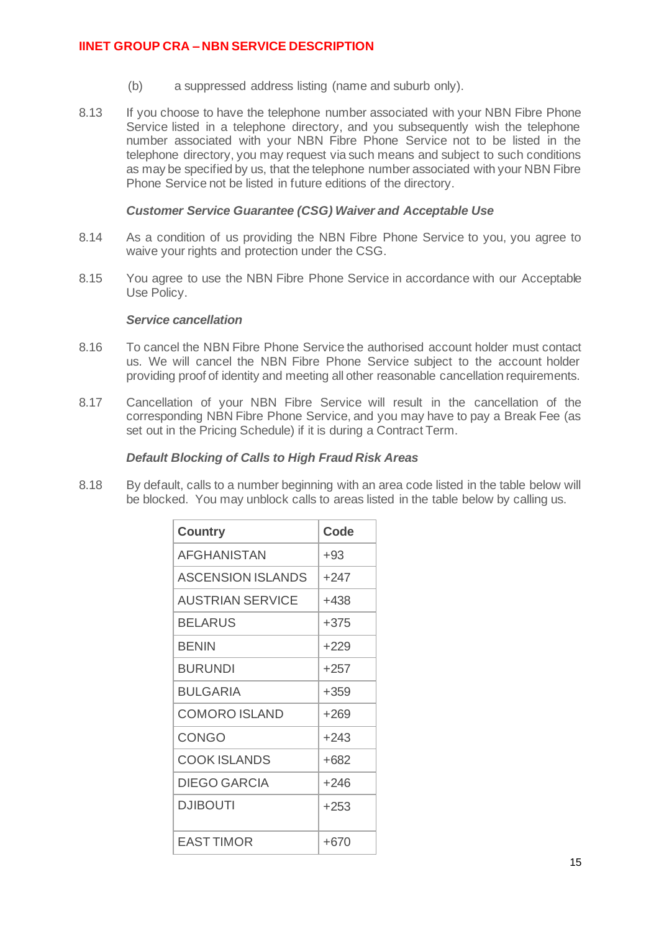- (b) a suppressed address listing (name and suburb only).
- 8.13 If you choose to have the telephone number associated with your NBN Fibre Phone Service listed in a telephone directory, and you subsequently wish the telephone number associated with your NBN Fibre Phone Service not to be listed in the telephone directory, you may request via such means and subject to such conditions as may be specified by us, that the telephone number associated with your NBN Fibre Phone Service not be listed in future editions of the directory.

### *Customer Service Guarantee (CSG) Waiver and Acceptable Use*

- 8.14 As a condition of us providing the NBN Fibre Phone Service to you, you agree to waive your rights and protection under the CSG.
- 8.15 You agree to use the NBN Fibre Phone Service in accordance with our Acceptable Use Policy.

#### *Service cancellation*

- 8.16 To cancel the NBN Fibre Phone Service the authorised account holder must contact us. We will cancel the NBN Fibre Phone Service subject to the account holder providing proof of identity and meeting all other reasonable cancellation requirements.
- 8.17 Cancellation of your NBN Fibre Service will result in the cancellation of the corresponding NBN Fibre Phone Service, and you may have to pay a Break Fee (as set out in the Pricing Schedule) if it is during a Contract Term.

## *Default Blocking of Calls to High Fraud Risk Areas*

8.18 By default, calls to a number beginning with an area code listed in the table below will be blocked. You may unblock calls to areas listed in the table below by calling us.

| <b>Country</b>           | Code   |
|--------------------------|--------|
| <b>AFGHANISTAN</b>       | $+93$  |
| <b>ASCENSION ISLANDS</b> | $+247$ |
| <b>AUSTRIAN SERVICE</b>  | +438   |
| BELARUS                  | +375   |
| <b>BENIN</b>             | $+229$ |
| <b>BURUNDI</b>           | $+257$ |
| BULGARIA                 | $+359$ |
| <b>COMORO ISLAND</b>     | $+269$ |
| CONGO                    | $+243$ |
| <b>COOK ISLANDS</b>      | +682   |
| DIEGO GARCIA             | +246   |
| DJIBOUTI                 | $+253$ |
| <b>EAST TIMOR</b>        | $+670$ |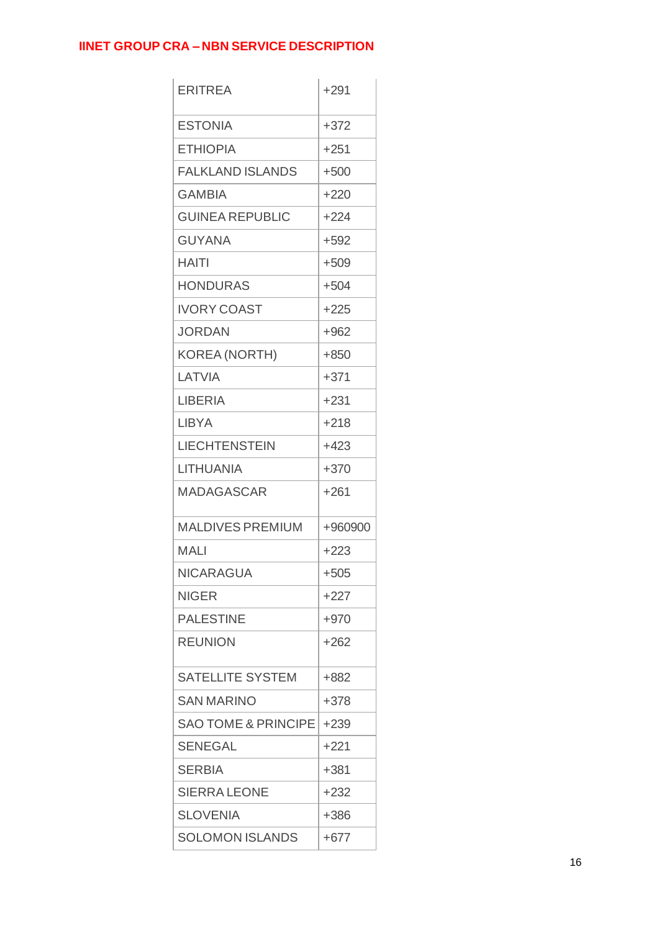| <b>ERITREA</b>                 | $+291$  |
|--------------------------------|---------|
| <b>ESTONIA</b>                 | $+372$  |
| <b>ETHIOPIA</b>                | $+251$  |
| <b>FALKLAND ISLANDS</b>        | $+500$  |
| <b>GAMBIA</b>                  | $+220$  |
| <b>GUINEA REPUBLIC</b>         | $+224$  |
| <b>GUYANA</b>                  | $+592$  |
| <b>HAITI</b>                   | $+509$  |
| <b>HONDURAS</b>                | $+504$  |
| <b>IVORY COAST</b>             | +225    |
| <b>JORDAN</b>                  | $+962$  |
| KOREA (NORTH)                  | $+850$  |
| LATVIA                         | $+371$  |
| <b>LIBERIA</b>                 | $+231$  |
| <b>LIBYA</b>                   | $+218$  |
| <b>LIECHTENSTEIN</b>           | $+423$  |
| <b>LITHUANIA</b>               | $+370$  |
| <b>MADAGASCAR</b>              | $+261$  |
| <b>MALDIVES PREMIUM</b>        | +960900 |
| MALI                           | $+223$  |
| <b>NICARAGUA</b>               | $+505$  |
| <b>NIGER</b>                   | +227    |
| <b>PALESTINE</b>               | $+970$  |
| <b>REUNION</b>                 | $+262$  |
| <b>SATELLITE SYSTEM</b>        | +882    |
| <b>SAN MARINO</b>              | +378    |
| <b>SAO TOME &amp; PRINCIPE</b> | $+239$  |
| <b>SENEGAL</b>                 | +221    |
| <b>SERBIA</b>                  | +381    |
| <b>SIERRA LEONE</b>            | $+232$  |
| <b>SLOVENIA</b>                | $+386$  |
| <b>SOLOMON ISLANDS</b>         | $+677$  |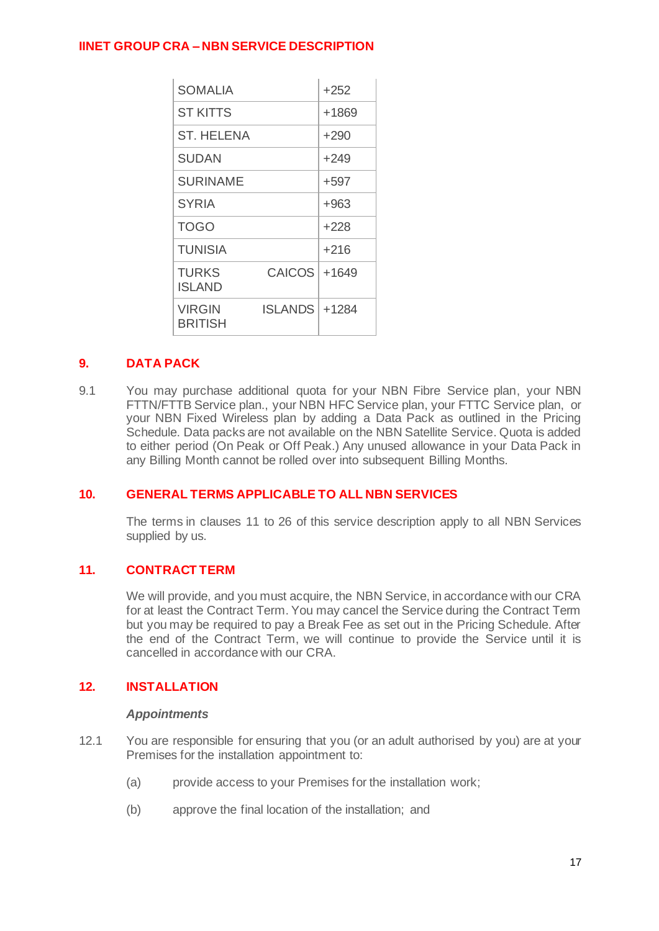| <b>SOMALIA</b>           |                 | $+252$ |
|--------------------------|-----------------|--------|
| <b>ST KITTS</b>          |                 | +1869  |
| <b>ST. HELENA</b>        |                 | $+290$ |
| SUDAN                    |                 | $+249$ |
| <b>SURINAME</b>          |                 | +597   |
| <b>SYRIA</b>             |                 | $+963$ |
| TOGO                     |                 | +228   |
| <b>TUNISIA</b>           |                 | +216   |
| TURKS<br>ISLAND          | <b>CAICOS</b>   | +1649  |
| <b>VIRGIN</b><br>BRITISH | ISLANDS   +1284 |        |

# **9. DATA PACK**

9.1 You may purchase additional quota for your NBN Fibre Service plan, your NBN FTTN/FTTB Service plan., your NBN HFC Service plan, your FTTC Service plan, or your NBN Fixed Wireless plan by adding a Data Pack as outlined in the Pricing Schedule. Data packs are not available on the NBN Satellite Service. Quota is added to either period (On Peak or Off Peak.) Any unused allowance in your Data Pack in any Billing Month cannot be rolled over into subsequent Billing Months.

## **10. GENERAL TERMS APPLICABLE TO ALL NBN SERVICES**

The terms in clauses [11](#page-16-0) t[o 26](#page-27-0) of this service description apply to all NBN Services supplied by us.

## <span id="page-16-0"></span>**11. CONTRACT TERM**

We will provide, and you must acquire, the NBN Service, in accordance with our CRA for at least the Contract Term. You may cancel the Service during the Contract Term but you may be required to pay a Break Fee as set out in the Pricing Schedule. After the end of the Contract Term, we will continue to provide the Service until it is cancelled in accordance with our CRA.

## **12. INSTALLATION**

#### *Appointments*

- 12.1 You are responsible for ensuring that you (or an adult authorised by you) are at your Premises for the installation appointment to:
	- (a) provide access to your Premises for the installation work;
	- (b) approve the final location of the installation; and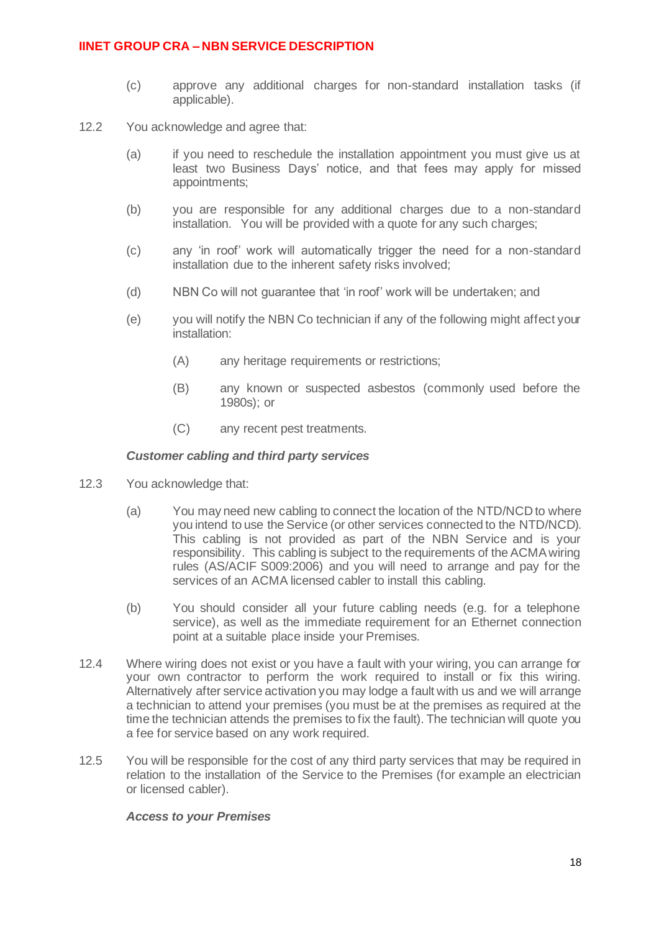- (c) approve any additional charges for non-standard installation tasks (if applicable).
- 12.2 You acknowledge and agree that:
	- (a) if you need to reschedule the installation appointment you must give us at least two Business Days' notice, and that fees may apply for missed appointments;
	- (b) you are responsible for any additional charges due to a non-standard installation. You will be provided with a quote for any such charges;
	- (c) any 'in roof' work will automatically trigger the need for a non-standard installation due to the inherent safety risks involved;
	- (d) NBN Co will not guarantee that 'in roof' work will be undertaken; and
	- (e) you will notify the NBN Co technician if any of the following might affect your installation:
		- (A) any heritage requirements or restrictions;
		- (B) any known or suspected asbestos (commonly used before the 1980s); or
		- (C) any recent pest treatments.

#### *Customer cabling and third party services*

- 12.3 You acknowledge that:
	- (a) You may need new cabling to connect the location of the NTD/NCD to where you intend to use the Service (or other services connected to the NTD/NCD). This cabling is not provided as part of the NBN Service and is your responsibility. This cabling is subject to the requirements of the ACMA wiring rules (AS/ACIF S009:2006) and you will need to arrange and pay for the services of an ACMA licensed cabler to install this cabling.
	- (b) You should consider all your future cabling needs (e.g. for a telephone service), as well as the immediate requirement for an Ethernet connection point at a suitable place inside your Premises.
- 12.4 Where wiring does not exist or you have a fault with your wiring, you can arrange for your own contractor to perform the work required to install or fix this wiring. Alternatively after service activation you may lodge a fault with us and we will arrange a technician to attend your premises (you must be at the premises as required at the time the technician attends the premises to fix the fault). The technician will quote you a fee for service based on any work required.
- 12.5 You will be responsible for the cost of any third party services that may be required in relation to the installation of the Service to the Premises (for example an electrician or licensed cabler).

#### *Access to your Premises*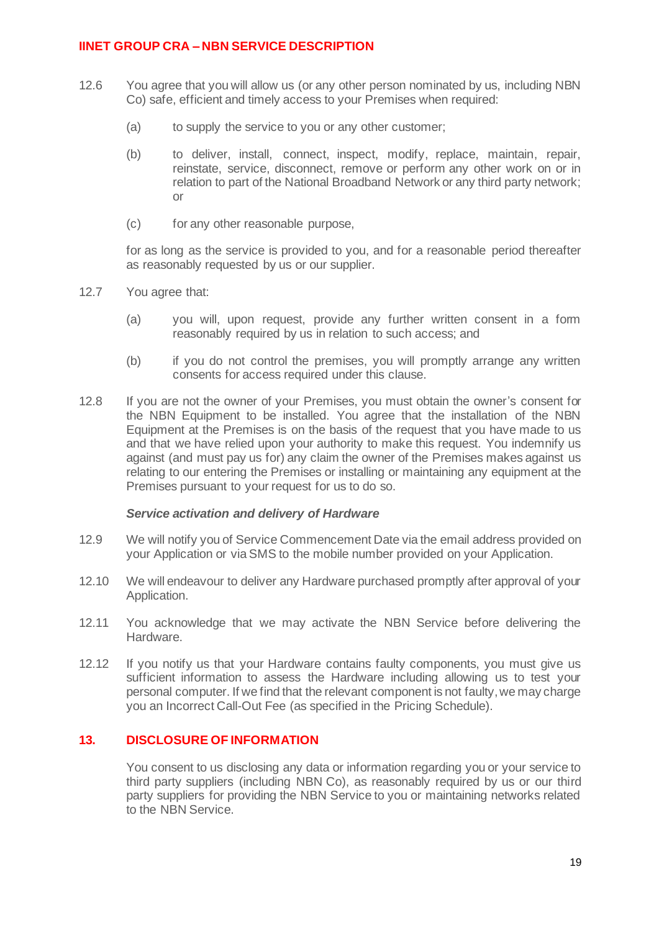- 12.6 You agree that you will allow us (or any other person nominated by us, including NBN Co) safe, efficient and timely access to your Premises when required:
	- (a) to supply the service to you or any other customer;
	- (b) to deliver, install, connect, inspect, modify, replace, maintain, repair, reinstate, service, disconnect, remove or perform any other work on or in relation to part of the National Broadband Network or any third party network; or
	- (c) for any other reasonable purpose,

for as long as the service is provided to you, and for a reasonable period thereafter as reasonably requested by us or our supplier.

- 12.7 You agree that:
	- (a) you will, upon request, provide any further written consent in a form reasonably required by us in relation to such access; and
	- (b) if you do not control the premises, you will promptly arrange any written consents for access required under this clause.
- 12.8 If you are not the owner of your Premises, you must obtain the owner's consent for the NBN Equipment to be installed. You agree that the installation of the NBN Equipment at the Premises is on the basis of the request that you have made to us and that we have relied upon your authority to make this request. You indemnify us against (and must pay us for) any claim the owner of the Premises makes against us relating to our entering the Premises or installing or maintaining any equipment at the Premises pursuant to your request for us to do so.

#### *Service activation and delivery of Hardware*

- 12.9 We will notify you of Service Commencement Date via the email address provided on your Application or via SMS to the mobile number provided on your Application.
- 12.10 We will endeavour to deliver any Hardware purchased promptly after approval of your Application.
- 12.11 You acknowledge that we may activate the NBN Service before delivering the Hardware.
- 12.12 If you notify us that your Hardware contains faulty components, you must give us sufficient information to assess the Hardware including allowing us to test your personal computer. If we find that the relevant component is not faulty, we may charge you an Incorrect Call-Out Fee (as specified in the Pricing Schedule).

## **13. DISCLOSURE OF INFORMATION**

You consent to us disclosing any data or information regarding you or your service to third party suppliers (including NBN Co), as reasonably required by us or our third party suppliers for providing the NBN Service to you or maintaining networks related to the NBN Service.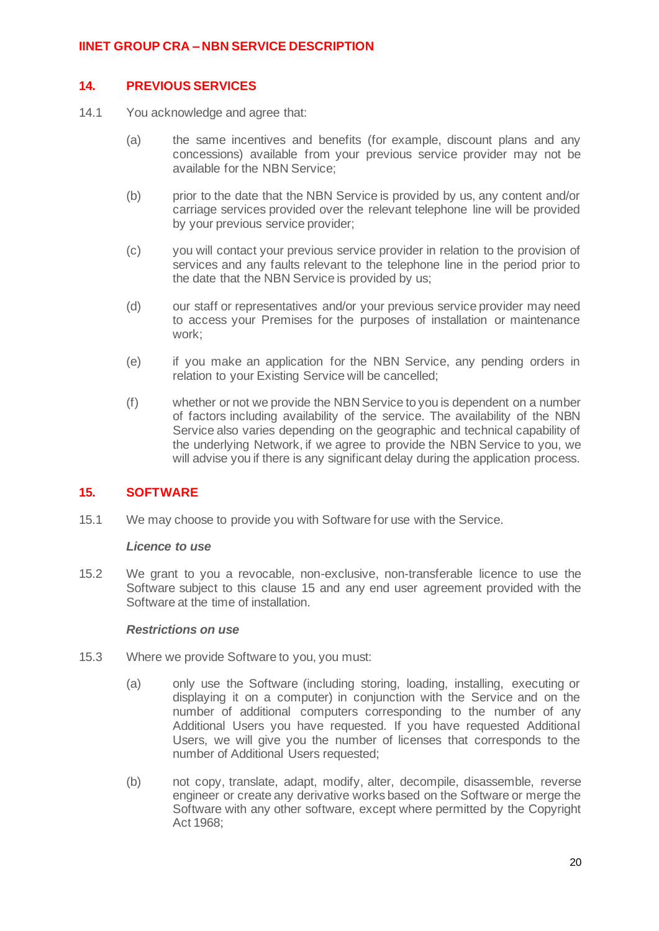### **14. PREVIOUS SERVICES**

- 14.1 You acknowledge and agree that:
	- (a) the same incentives and benefits (for example, discount plans and any concessions) available from your previous service provider may not be available for the NBN Service;
	- (b) prior to the date that the NBN Service is provided by us, any content and/or carriage services provided over the relevant telephone line will be provided by your previous service provider;
	- (c) you will contact your previous service provider in relation to the provision of services and any faults relevant to the telephone line in the period prior to the date that the NBN Service is provided by us;
	- (d) our staff or representatives and/or your previous service provider may need to access your Premises for the purposes of installation or maintenance work;
	- (e) if you make an application for the NBN Service, any pending orders in relation to your Existing Service will be cancelled;
	- (f) whether or not we provide the NBN Service to you is dependent on a number of factors including availability of the service. The availability of the NBN Service also varies depending on the geographic and technical capability of the underlying Network, if we agree to provide the NBN Service to you, we will advise you if there is any significant delay during the application process.

## <span id="page-19-0"></span>**15. SOFTWARE**

15.1 We may choose to provide you with Software for use with the Service.

#### *Licence to use*

15.2 We grant to you a revocable, non-exclusive, non-transferable licence to use the Software subject to this clause [15](#page-19-0) and any end user agreement provided with the Software at the time of installation.

#### *Restrictions on use*

- 15.3 Where we provide Software to you, you must:
	- (a) only use the Software (including storing, loading, installing, executing or displaying it on a computer) in conjunction with the Service and on the number of additional computers corresponding to the number of any Additional Users you have requested. If you have requested Additional Users, we will give you the number of licenses that corresponds to the number of Additional Users requested;
	- (b) not copy, translate, adapt, modify, alter, decompile, disassemble, reverse engineer or create any derivative works based on the Software or merge the Software with any other software, except where permitted by the Copyright Act 1968;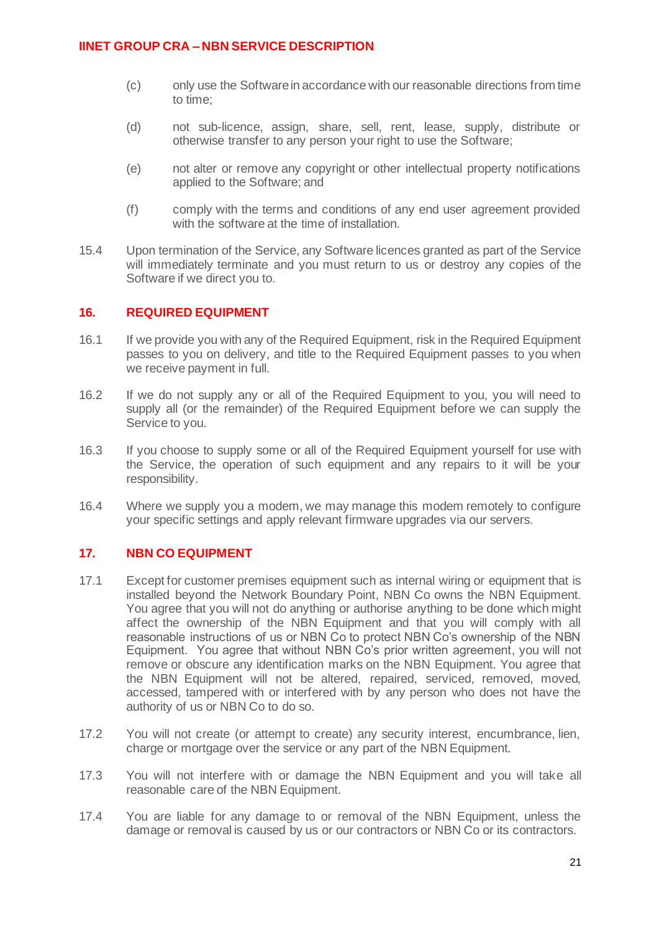- (c) only use the Software in accordance with our reasonable directions from time to time;
- (d) not sub-licence, assign, share, sell, rent, lease, supply, distribute or otherwise transfer to any person your right to use the Software;
- (e) not alter or remove any copyright or other intellectual property notifications applied to the Software; and
- (f) comply with the terms and conditions of any end user agreement provided with the software at the time of installation.
- 15.4 Upon termination of the Service, any Software licences granted as part of the Service will immediately terminate and you must return to us or destroy any copies of the Software if we direct you to.

## **16. REQUIRED EQUIPMENT**

- 16.1 If we provide you with any of the Required Equipment, risk in the Required Equipment passes to you on delivery, and title to the Required Equipment passes to you when we receive payment in full.
- 16.2 If we do not supply any or all of the Required Equipment to you, you will need to supply all (or the remainder) of the Required Equipment before we can supply the Service to you.
- 16.3 If you choose to supply some or all of the Required Equipment yourself for use with the Service, the operation of such equipment and any repairs to it will be your responsibility.
- 16.4 Where we supply you a modem, we may manage this modem remotely to configure your specific settings and apply relevant firmware upgrades via our servers.

### **17. NBN CO EQUIPMENT**

- 17.1 Except for customer premises equipment such as internal wiring or equipment that is installed beyond the Network Boundary Point, NBN Co owns the NBN Equipment. You agree that you will not do anything or authorise anything to be done which might affect the ownership of the NBN Equipment and that you will comply with all reasonable instructions of us or NBN Co to protect NBN Co's ownership of the NBN Equipment. You agree that without NBN Co's prior written agreement, you will not remove or obscure any identification marks on the NBN Equipment. You agree that the NBN Equipment will not be altered, repaired, serviced, removed, moved, accessed, tampered with or interfered with by any person who does not have the authority of us or NBN Co to do so.
- 17.2 You will not create (or attempt to create) any security interest, encumbrance, lien, charge or mortgage over the service or any part of the NBN Equipment.
- 17.3 You will not interfere with or damage the NBN Equipment and you will take all reasonable care of the NBN Equipment.
- 17.4 You are liable for any damage to or removal of the NBN Equipment, unless the damage or removal is caused by us or our contractors or NBN Co or its contractors.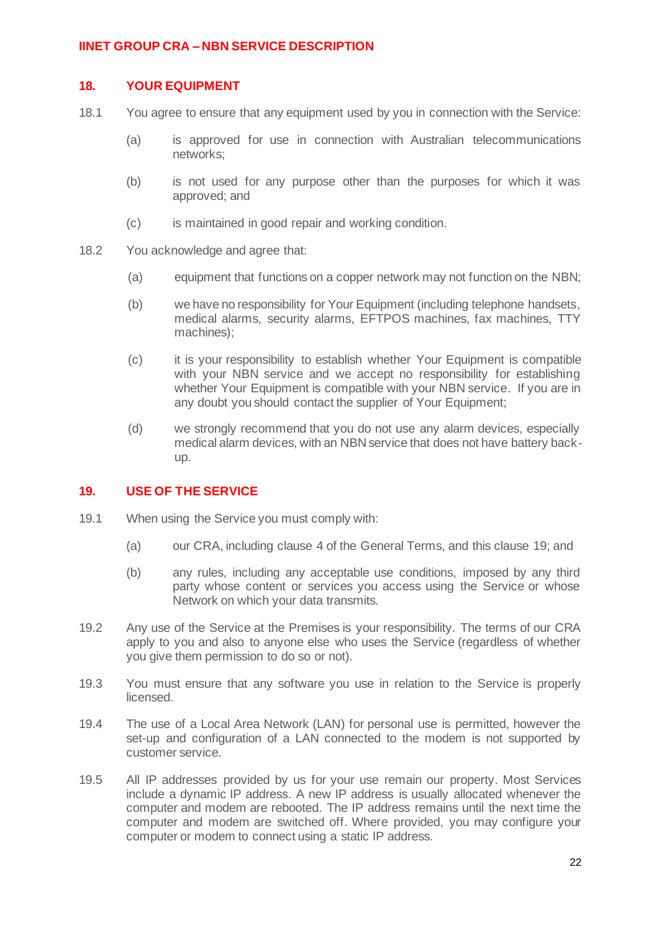#### **18. YOUR EQUIPMENT**

- 18.1 You agree to ensure that any equipment used by you in connection with the Service:
	- (a) is approved for use in connection with Australian telecommunications networks;
	- (b) is not used for any purpose other than the purposes for which it was approved; and
	- (c) is maintained in good repair and working condition.
- 18.2 You acknowledge and agree that:
	- (a) equipment that functions on a copper network may not function on the NBN;
	- (b) we have no responsibility for Your Equipment (including telephone handsets, medical alarms, security alarms, EFTPOS machines, fax machines, TTY machines);
	- (c) it is your responsibility to establish whether Your Equipment is compatible with your NBN service and we accept no responsibility for establishing whether Your Equipment is compatible with your NBN service. If you are in any doubt you should contact the supplier of Your Equipment;
	- (d) we strongly recommend that you do not use any alarm devices, especially medical alarm devices, with an NBN service that does not have battery backup.

# <span id="page-21-0"></span>**19. USE OF THE SERVICE**

- 19.1 When using the Service you must comply with:
	- (a) our CRA, including clause 4 of the General Terms, and this clause [19;](#page-21-0) and
	- (b) any rules, including any acceptable use conditions, imposed by any third party whose content or services you access using the Service or whose Network on which your data transmits.
- 19.2 Any use of the Service at the Premises is your responsibility. The terms of our CRA apply to you and also to anyone else who uses the Service (regardless of whether you give them permission to do so or not).
- 19.3 You must ensure that any software you use in relation to the Service is properly licensed.
- 19.4 The use of a Local Area Network (LAN) for personal use is permitted, however the set-up and configuration of a LAN connected to the modem is not supported by customer service.
- 19.5 All IP addresses provided by us for your use remain our property. Most Services include a dynamic IP address. A new IP address is usually allocated whenever the computer and modem are rebooted. The IP address remains until the next time the computer and modem are switched off. Where provided, you may configure your computer or modem to connect using a static IP address.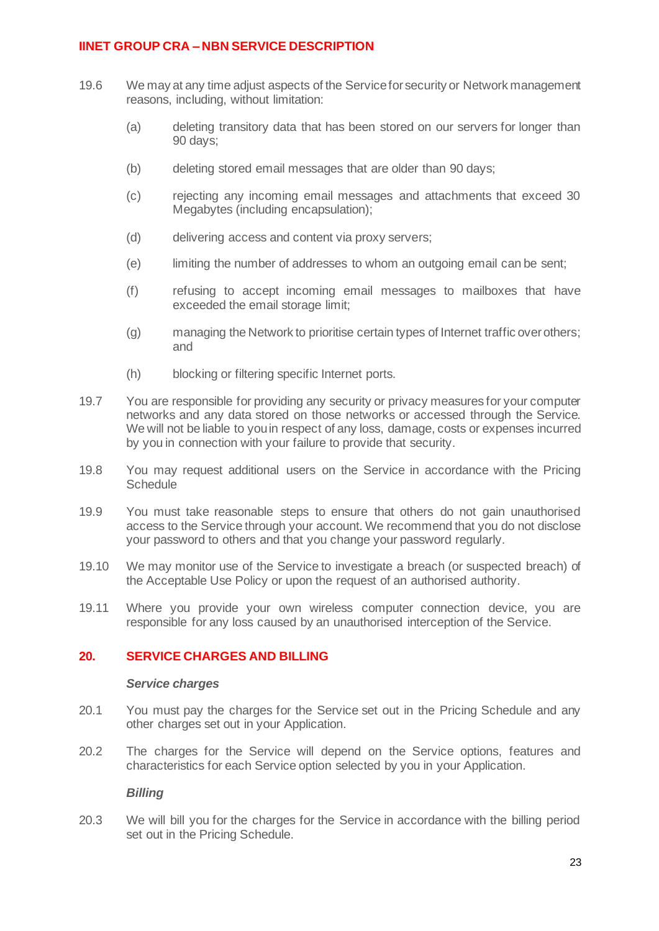- 19.6 We may at any time adjust aspects of the Service for security or Network management reasons, including, without limitation:
	- (a) deleting transitory data that has been stored on our servers for longer than 90 days;
	- (b) deleting stored email messages that are older than 90 days;
	- (c) rejecting any incoming email messages and attachments that exceed 30 Megabytes (including encapsulation);
	- (d) delivering access and content via proxy servers;
	- (e) limiting the number of addresses to whom an outgoing email can be sent;
	- (f) refusing to accept incoming email messages to mailboxes that have exceeded the email storage limit;
	- (g) managing the Network to prioritise certain types of Internet traffic over others; and
	- (h) blocking or filtering specific Internet ports.
- 19.7 You are responsible for providing any security or privacy measures for your computer networks and any data stored on those networks or accessed through the Service. We will not be liable to you in respect of any loss, damage, costs or expenses incurred by you in connection with your failure to provide that security.
- 19.8 You may request additional users on the Service in accordance with the Pricing **Schedule**
- 19.9 You must take reasonable steps to ensure that others do not gain unauthorised access to the Service through your account. We recommend that you do not disclose your password to others and that you change your password regularly.
- 19.10 We may monitor use of the Service to investigate a breach (or suspected breach) of the Acceptable Use Policy or upon the request of an authorised authority.
- 19.11 Where you provide your own wireless computer connection device, you are responsible for any loss caused by an unauthorised interception of the Service.

### **20. SERVICE CHARGES AND BILLING**

#### *Service charges*

- 20.1 You must pay the charges for the Service set out in the Pricing Schedule and any other charges set out in your Application.
- 20.2 The charges for the Service will depend on the Service options, features and characteristics for each Service option selected by you in your Application.

#### *Billing*

20.3 We will bill you for the charges for the Service in accordance with the billing period set out in the Pricing Schedule.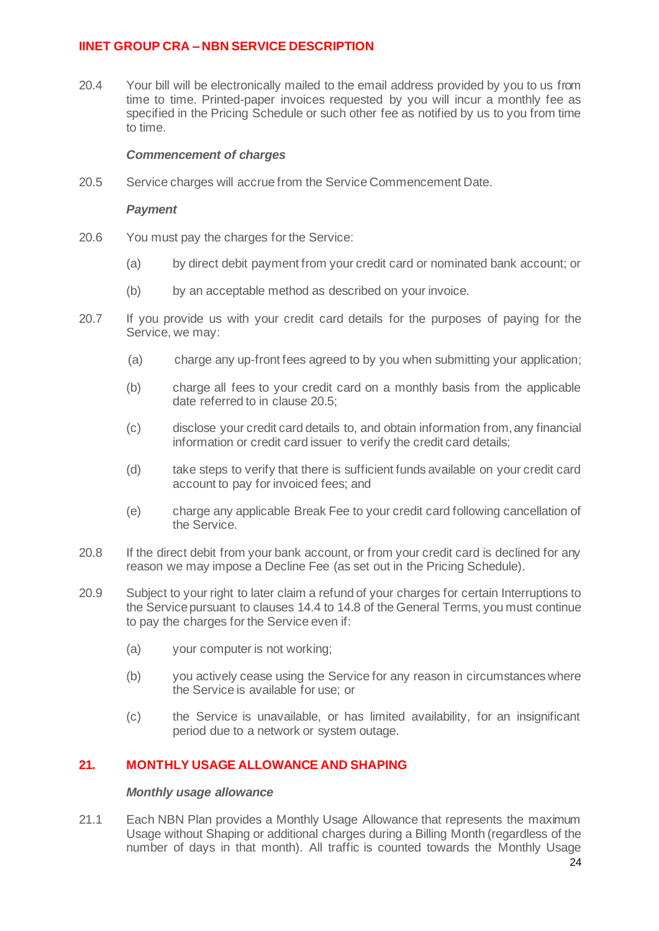20.4 Your bill will be electronically mailed to the email address provided by you to us from time to time. Printed-paper invoices requested by you will incur a monthly fee as specified in the Pricing Schedule or such other fee as notified by us to you from time to time.

#### *Commencement of charges*

20.5 Service charges will accrue from the Service Commencement Date.

#### *Payment*

- 20.6 You must pay the charges for the Service:
	- (a) by direct debit payment from your credit card or nominated bank account; or
	- (b) by an acceptable method as described on your invoice.
- 20.7 If you provide us with your credit card details for the purposes of paying for the Service, we may:
	- (a) charge any up-front fees agreed to by you when submitting your application;
	- (b) charge all fees to your credit card on a monthly basis from the applicable date referred to in clause 20.5;
	- (c) disclose your credit card details to, and obtain information from, any financial information or credit card issuer to verify the credit card details;
	- (d) take steps to verify that there is sufficient funds available on your credit card account to pay for invoiced fees; and
	- (e) charge any applicable Break Fee to your credit card following cancellation of the Service.
- 20.8 If the direct debit from your bank account, or from your credit card is declined for any reason we may impose a Decline Fee (as set out in the Pricing Schedule).
- 20.9 Subject to your right to later claim a refund of your charges for certain Interruptions to the Service pursuant to clauses 14.4 to 14.8 of the General Terms, you must continue to pay the charges for the Service even if:
	- (a) your computer is not working;
	- (b) you actively cease using the Service for any reason in circumstances where the Service is available for use; or
	- (c) the Service is unavailable, or has limited availability, for an insignificant period due to a network or system outage.

### **21. MONTHLY USAGE ALLOWANCE AND SHAPING**

#### *Monthly usage allowance*

21.1 Each NBN Plan provides a Monthly Usage Allowance that represents the maximum Usage without Shaping or additional charges during a Billing Month (regardless of the number of days in that month). All traffic is counted towards the Monthly Usage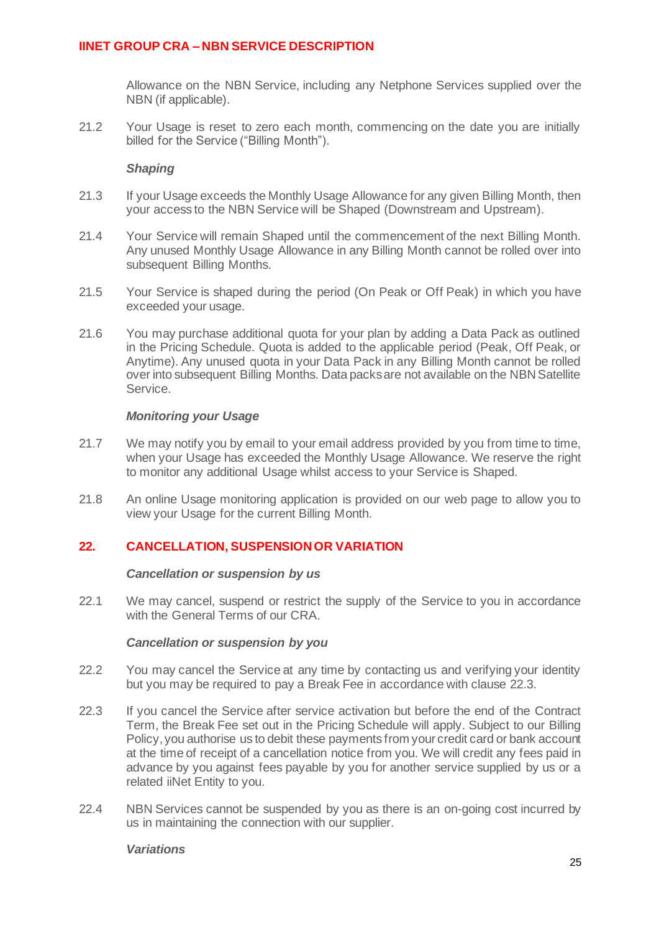Allowance on the NBN Service, including any Netphone Services supplied over the NBN (if applicable).

21.2 Your Usage is reset to zero each month, commencing on the date you are initially billed for the Service ("Billing Month").

#### *Shaping*

- 21.3 If your Usage exceeds the Monthly Usage Allowance for any given Billing Month, then your access to the NBN Service will be Shaped (Downstream and Upstream).
- 21.4 Your Service will remain Shaped until the commencement of the next Billing Month. Any unused Monthly Usage Allowance in any Billing Month cannot be rolled over into subsequent Billing Months.
- 21.5 Your Service is shaped during the period (On Peak or Off Peak) in which you have exceeded your usage.
- 21.6 You may purchase additional quota for your plan by adding a Data Pack as outlined in the Pricing Schedule. Quota is added to the applicable period (Peak, Off Peak, or Anytime). Any unused quota in your Data Pack in any Billing Month cannot be rolled over into subsequent Billing Months. Data packs are not available on the NBN Satellite Service.

#### *Monitoring your Usage*

- 21.7 We may notify you by email to your email address provided by you from time to time, when your Usage has exceeded the Monthly Usage Allowance. We reserve the right to monitor any additional Usage whilst access to your Service is Shaped.
- 21.8 An online Usage monitoring application is provided on our web page to allow you to view your Usage for the current Billing Month.

### **22. CANCELLATION, SUSPENSION OR VARIATION**

#### *Cancellation or suspension by us*

22.1 We may cancel, suspend or restrict the supply of the Service to you in accordance with the General Terms of our CRA.

#### *Cancellation or suspension by you*

- 22.2 You may cancel the Service at any time by contacting us and verifying your identity but you may be required to pay a Break Fee in accordance with clause [22.3.](#page-24-0)
- <span id="page-24-0"></span>22.3 If you cancel the Service after service activation but before the end of the Contract Term, the Break Fee set out in the Pricing Schedule will apply. Subject to our Billing Policy, you authorise us to debit these payments from your credit card or bank account at the time of receipt of a cancellation notice from you. We will credit any fees paid in advance by you against fees payable by you for another service supplied by us or a related iiNet Entity to you.
- 22.4 NBN Services cannot be suspended by you as there is an on-going cost incurred by us in maintaining the connection with our supplier.

#### *Variations*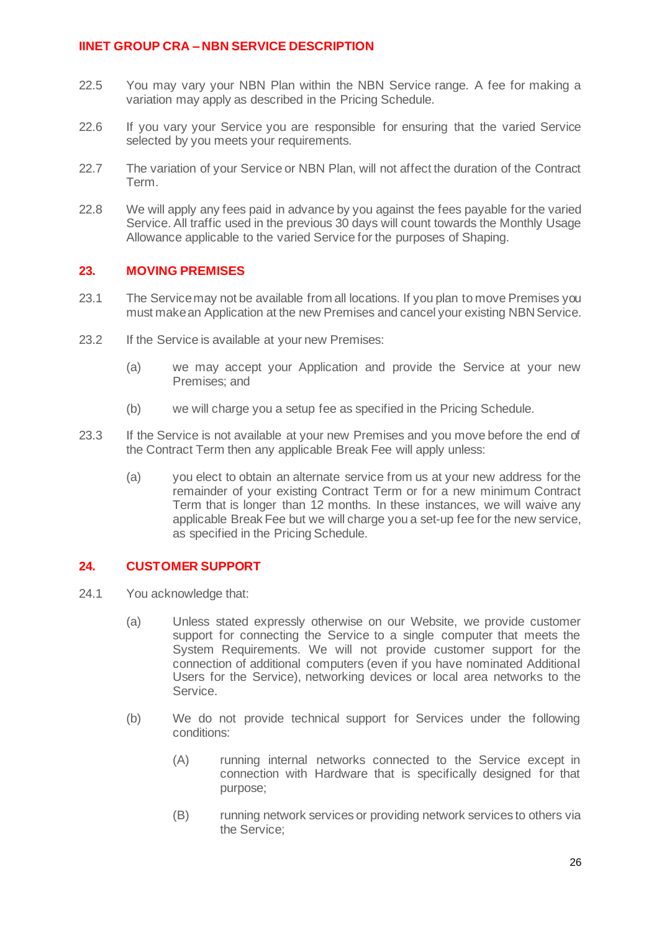- 22.5 You may vary your NBN Plan within the NBN Service range. A fee for making a variation may apply as described in the Pricing Schedule.
- 22.6 If you vary your Service you are responsible for ensuring that the varied Service selected by you meets your requirements.
- 22.7 The variation of your Service or NBN Plan, will not affect the duration of the Contract Term.
- 22.8 We will apply any fees paid in advance by you against the fees payable for the varied Service. All traffic used in the previous 30 days will count towards the Monthly Usage Allowance applicable to the varied Service for the purposes of Shaping.

### **23. MOVING PREMISES**

- 23.1 The Service may not be available from all locations. If you plan to move Premises you must make an Application at the new Premises and cancel your existing NBN Service.
- 23.2 If the Service is available at your new Premises:
	- (a) we may accept your Application and provide the Service at your new Premises; and
	- (b) we will charge you a setup fee as specified in the Pricing Schedule.
- 23.3 If the Service is not available at your new Premises and you move before the end of the Contract Term then any applicable Break Fee will apply unless:
	- (a) you elect to obtain an alternate service from us at your new address for the remainder of your existing Contract Term or for a new minimum Contract Term that is longer than 12 months. In these instances, we will waive any applicable Break Fee but we will charge you a set-up fee for the new service, as specified in the Pricing Schedule.

### **24. CUSTOMER SUPPORT**

- 24.1 You acknowledge that:
	- (a) Unless stated expressly otherwise on our Website, we provide customer support for connecting the Service to a single computer that meets the System Requirements. We will not provide customer support for the connection of additional computers (even if you have nominated Additional Users for the Service), networking devices or local area networks to the Service.
	- (b) We do not provide technical support for Services under the following conditions:
		- (A) running internal networks connected to the Service except in connection with Hardware that is specifically designed for that purpose;
		- (B) running network services or providing network services to others via the Service;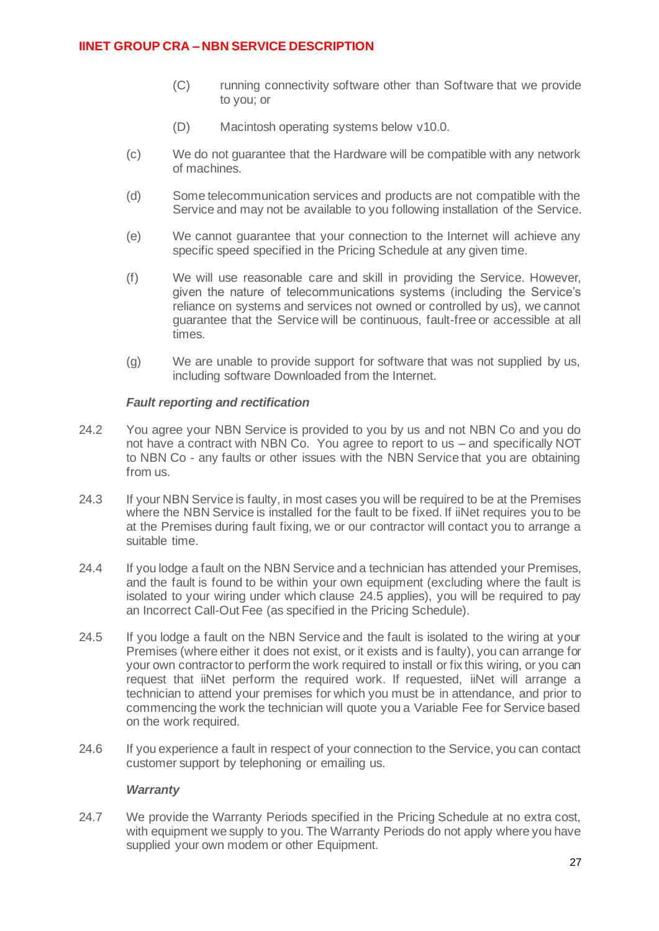- (C) running connectivity software other than Software that we provide to you; or
- (D) Macintosh operating systems below v10.0.
- (c) We do not guarantee that the Hardware will be compatible with any network of machines.
- (d) Some telecommunication services and products are not compatible with the Service and may not be available to you following installation of the Service.
- (e) We cannot guarantee that your connection to the Internet will achieve any specific speed specified in the Pricing Schedule at any given time.
- (f) We will use reasonable care and skill in providing the Service. However, given the nature of telecommunications systems (including the Service's reliance on systems and services not owned or controlled by us), we cannot guarantee that the Service will be continuous, fault-free or accessible at all times.
- (g) We are unable to provide support for software that was not supplied by us, including software Downloaded from the Internet.

### *Fault reporting and rectification*

- 24.2 You agree your NBN Service is provided to you by us and not NBN Co and you do not have a contract with NBN Co. You agree to report to us – and specifically NOT to NBN Co - any faults or other issues with the NBN Service that you are obtaining from us.
- 24.3 If your NBN Service is faulty, in most cases you will be required to be at the Premises where the NBN Service is installed for the fault to be fixed. If iiNet requires you to be at the Premises during fault fixing, we or our contractor will contact you to arrange a suitable time.
- 24.4 If you lodge a fault on the NBN Service and a technician has attended your Premises, and the fault is found to be within your own equipment (excluding where the fault is isolated to your wiring under which clause [24.5](#page-26-0) applies), you will be required to pay an Incorrect Call-Out Fee (as specified in the Pricing Schedule).
- <span id="page-26-0"></span>24.5 If you lodge a fault on the NBN Service and the fault is isolated to the wiring at your Premises (where either it does not exist, or it exists and is faulty), you can arrange for your own contractor to perform the work required to install or fix this wiring, or you can request that iiNet perform the required work. If requested, iiNet will arrange a technician to attend your premises for which you must be in attendance, and prior to commencing the work the technician will quote you a Variable Fee for Service based on the work required.
- 24.6 If you experience a fault in respect of your connection to the Service, you can contact customer support by telephoning or emailing us.

### *Warranty*

24.7 We provide the Warranty Periods specified in the Pricing Schedule at no extra cost, with equipment we supply to you. The Warranty Periods do not apply where you have supplied your own modem or other Equipment.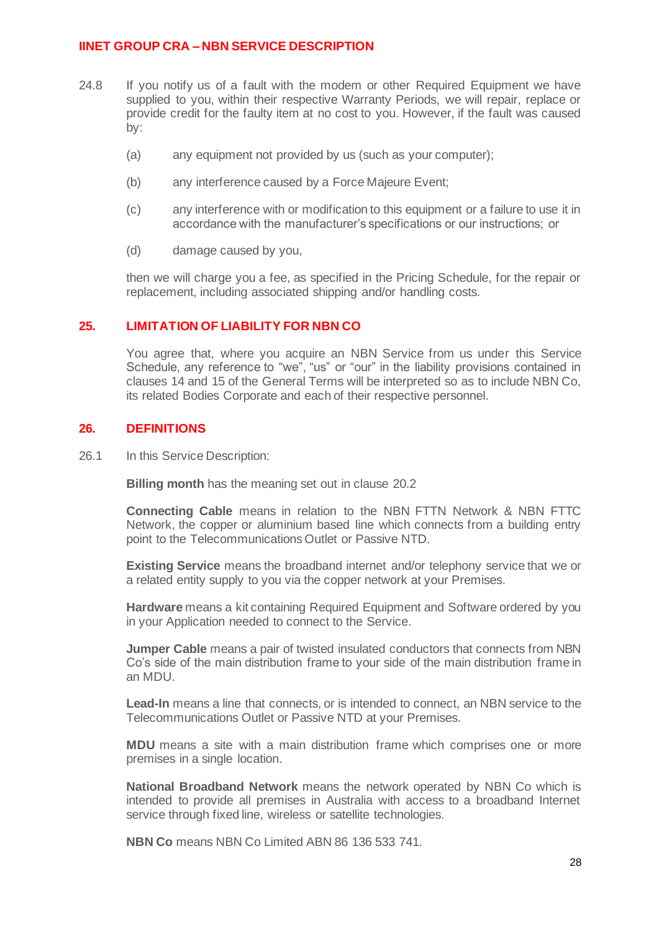- 24.8 If you notify us of a fault with the modem or other Required Equipment we have supplied to you, within their respective Warranty Periods, we will repair, replace or provide credit for the faulty item at no cost to you. However, if the fault was caused by:
	- (a) any equipment not provided by us (such as your computer);
	- (b) any interference caused by a Force Majeure Event;
	- (c) any interference with or modification to this equipment or a failure to use it in accordance with the manufacturer's specifications or our instructions; or
	- (d) damage caused by you,

then we will charge you a fee, as specified in the Pricing Schedule, for the repair or replacement, including associated shipping and/or handling costs.

### **25. LIMITATION OF LIABILITY FOR NBN CO**

You agree that, where you acquire an NBN Service from us under this Service Schedule, any reference to "we", "us" or "our" in the liability provisions contained in clauses 14 and 15 of the General Terms will be interpreted so as to include NBN Co, its related Bodies Corporate and each of their respective personnel.

#### <span id="page-27-0"></span>**26. DEFINITIONS**

26.1 In this Service Description:

**Billing month** has the meaning set out in clause 20.2

**Connecting Cable** means in relation to the NBN FTTN Network & NBN FTTC Network, the copper or aluminium based line which connects from a building entry point to the Telecommunications Outlet or Passive NTD.

**Existing Service** means the broadband internet and/or telephony service that we or a related entity supply to you via the copper network at your Premises.

**Hardware** means a kit containing Required Equipment and Software ordered by you in your Application needed to connect to the Service.

**Jumper Cable** means a pair of twisted insulated conductors that connects from NBN Co's side of the main distribution frame to your side of the main distribution frame in an MDU.

**Lead-In** means a line that connects, or is intended to connect, an NBN service to the Telecommunications Outlet or Passive NTD at your Premises.

**MDU** means a site with a main distribution frame which comprises one or more premises in a single location.

**National Broadband Network** means the network operated by NBN Co which is intended to provide all premises in Australia with access to a broadband Internet service through fixed line, wireless or satellite technologies.

**NBN Co** means NBN Co Limited ABN 86 136 533 741.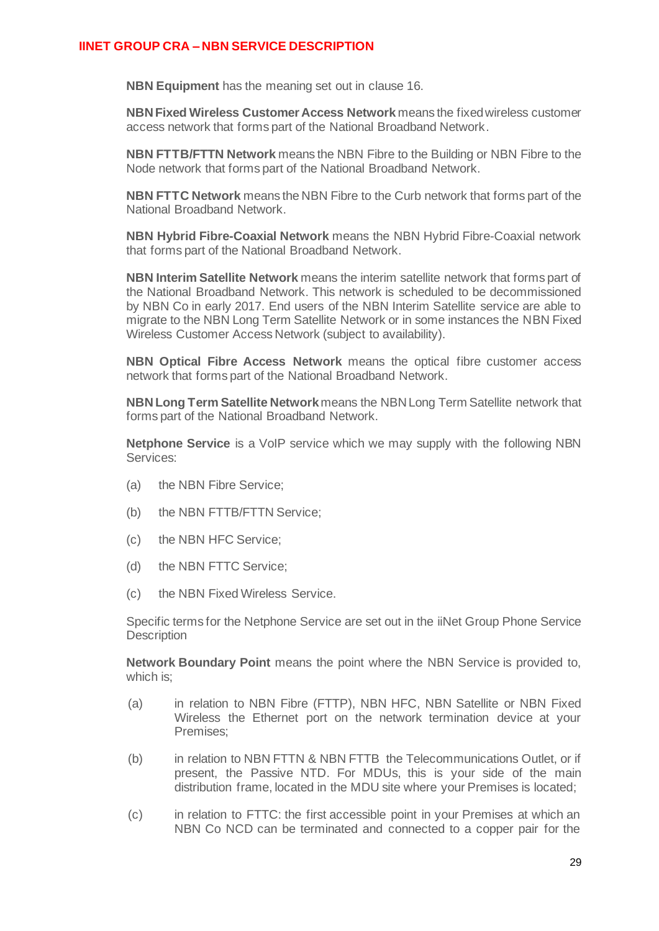**NBN Equipment** has the meaning set out in clause 16.

**NBN Fixed Wireless Customer Access Network** means the fixed wireless customer access network that forms part of the National Broadband Network.

**NBN FTTB/FTTN Network** means the NBN Fibre to the Building or NBN Fibre to the Node network that forms part of the National Broadband Network.

**NBN FTTC Network** means the NBN Fibre to the Curb network that forms part of the National Broadband Network.

**NBN Hybrid Fibre-Coaxial Network** means the NBN Hybrid Fibre-Coaxial network that forms part of the National Broadband Network.

**NBN Interim Satellite Network** means the interim satellite network that forms part of the National Broadband Network. This network is scheduled to be decommissioned by NBN Co in early 2017. End users of the NBN Interim Satellite service are able to migrate to the NBN Long Term Satellite Network or in some instances the NBN Fixed Wireless Customer Access Network (subject to availability).

**NBN Optical Fibre Access Network** means the optical fibre customer access network that forms part of the National Broadband Network.

**NBN Long Term Satellite Network**means the NBN Long Term Satellite network that forms part of the National Broadband Network.

**Netphone Service** is a VoIP service which we may supply with the following NBN Services:

- (a) the NBN Fibre Service;
- (b) the NBN FTTB/FTTN Service;
- (c) the NBN HFC Service;
- (d) the NBN FTTC Service;
- (c) the NBN Fixed Wireless Service.

Specific terms for the Netphone Service are set out in the iiNet Group Phone Service **Description** 

**Network Boundary Point** means the point where the NBN Service is provided to, which is;

- (a) in relation to NBN Fibre (FTTP), NBN HFC, NBN Satellite or NBN Fixed Wireless the Ethernet port on the network termination device at your Premises;
- (b) in relation to NBN FTTN & NBN FTTB the Telecommunications Outlet, or if present, the Passive NTD. For MDUs, this is your side of the main distribution frame, located in the MDU site where your Premises is located;
- (c) in relation to FTTC: the first accessible point in your Premises at which an NBN Co NCD can be terminated and connected to a copper pair for the